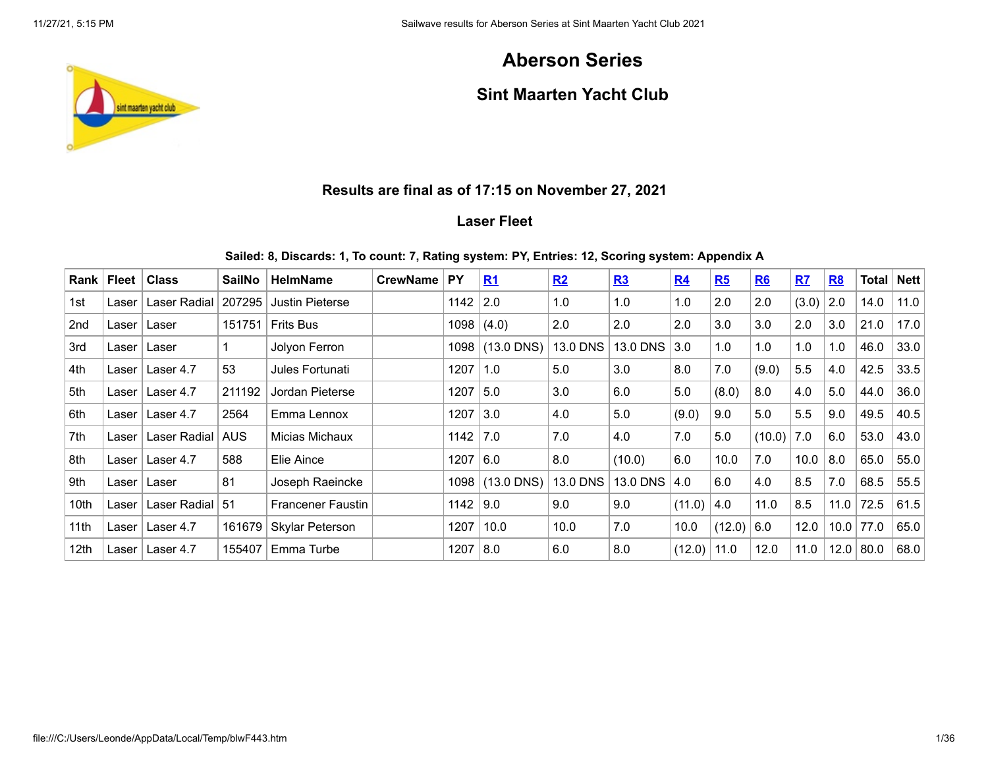# **Aberson Series**

# **Sint Maarten Yacht Club**

## **Results are final as of 17:15 on November 27, 2021**

## **Laser Fleet**

### **Sailed: 8, Discards: 1, To count: 7, Rating system: PY, Entries: 12, Scoring system: Appendix A**

| Rank             | <b>Fleet</b> | <b>Class</b> | <b>SailNo</b> | <b>HelmName</b>          | <b>CrewName</b> | <b>PY</b> | R <sub>1</sub> | R2              | R3              | R <sub>4</sub> | R5     | R6     | R7    | R8   | <b>Total</b> | <b>Nett</b> |
|------------------|--------------|--------------|---------------|--------------------------|-----------------|-----------|----------------|-----------------|-----------------|----------------|--------|--------|-------|------|--------------|-------------|
| 1st              | Laser        | Laser Radial | 207295        | <b>Justin Pieterse</b>   |                 | 1142      | 2.0            | 1.0             | 1.0             | 1.0            | 2.0    | 2.0    | (3.0) | 2.0  | 14.0         | 11.0        |
| 2 <sub>nd</sub>  | Laser        | Laser        | 151751        | <b>Frits Bus</b>         |                 | 1098      | (4.0)          | 2.0             | 2.0             | 2.0            | 3.0    | 3.0    | 2.0   | 3.0  | 21.0         | 17.0        |
| 3rd              | Laser        | Laser        |               | Jolyon Ferron            |                 | 1098      | $(13.0$ DNS)   | 13.0 DNS        | 13.0 DNS        | 3.0            | 1.0    | 1.0    | 1.0   | 1.0  | 46.0         | 33.0        |
| 4th              | Laser        | Laser 4.7    | 53            | Jules Fortunati          |                 | 1207      | 1.0            | 5.0             | 3.0             | 8.0            | 7.0    | (9.0)  | 5.5   | 4.0  | 42.5         | 33.5        |
| 5th              | Laser        | Laser 4.7    | 211192        | Jordan Pieterse          |                 | 1207      | 5.0            | 3.0             | 6.0             | 5.0            | (8.0)  | 8.0    | 4.0   | 5.0  | 44.0         | 36.0        |
| 6th              | Laser        | Laser 4.7    | 2564          | Emma Lennox              |                 | 1207      | 3.0            | 4.0             | 5.0             | (9.0)          | 9.0    | 5.0    | 5.5   | 9.0  | 49.5         | 40.5        |
| 7th              | Laser        | Laser Radial | <b>AUS</b>    | Micias Michaux           |                 | 1142      | 7.0            | 7.0             | 4.0             | 7.0            | 5.0    | (10.0) | 7.0   | 6.0  | 53.0         | 43.0        |
| 8th              | Laser        | Laser 4.7    | 588           | Elie Aince               |                 | 1207      | 6.0            | 8.0             | (10.0)          | 6.0            | 10.0   | 7.0    | 10.0  | 8.0  | 65.0         | 55.0        |
| 9th              | Laser        | Laser        | 81            | Joseph Raeincke          |                 | 1098      | $(13.0$ DNS)   | <b>13.0 DNS</b> | <b>13.0 DNS</b> | 4.0            | 6.0    | 4.0    | 8.5   | 7.0  | 68.5         | 55.5        |
| 10th             | Laser        | Laser Radial | -51           | <b>Francener Faustin</b> |                 | 1142      | 9.0            | 9.0             | 9.0             | (11.0)         | 4.0    | 11.0   | 8.5   | 11.0 | 72.5         | 61.5        |
| 11 <sub>th</sub> | Laser        | Laser 4.7    | 161679        | Skylar Peterson          |                 | 1207      | 10.0           | 10.0            | 7.0             | 10.0           | (12.0) | 6.0    | 12.0  | 10.0 | 77.0         | 65.0        |
| 12th             | Laser        | Laser 4.7    | 155407        | Emma Turbe               |                 | 1207      | 8.0            | 6.0             | 8.0             | (12.0)         | 11.0   | 12.0   | 11.0  | 12.0 | 80.0         | 68.0        |

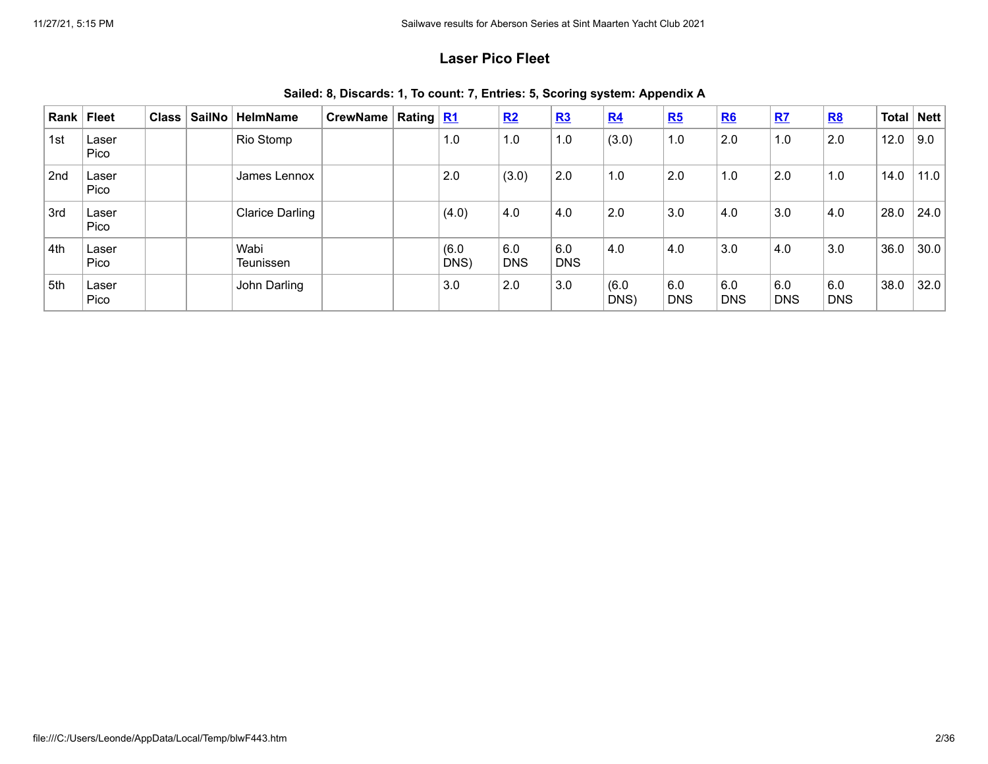## **Laser Pico Fleet**

| Rank | Fleet         | <b>Class</b> | SailNo | <b>HelmName</b>        | CrewName | Rating $R1$ |               | R2                | R3                | R <sub>4</sub> | R5                | <b>R6</b>         | R7                | <b>R8</b>         | Total | Nett |
|------|---------------|--------------|--------|------------------------|----------|-------------|---------------|-------------------|-------------------|----------------|-------------------|-------------------|-------------------|-------------------|-------|------|
| 1st  | Laser<br>Pico |              |        | Rio Stomp              |          |             | 1.0           | 1.0               | 1.0               | (3.0)          | 1.0               | 2.0               | 1.0               | 2.0               | 12.0  | 9.0  |
| 2nd  | Laser<br>Pico |              |        | James Lennox           |          |             | 2.0           | (3.0)             | 2.0               | 1.0            | 2.0               | 1.0               | 2.0               | 1.0               | 14.0  | 11.0 |
| 3rd  | Laser<br>Pico |              |        | <b>Clarice Darling</b> |          |             | (4.0)         | 4.0               | 4.0               | 2.0            | 3.0               | 4.0               | 3.0               | 4.0               | 28.0  | 24.0 |
| 4th  | Laser<br>Pico |              |        | Wabi<br>Teunissen      |          |             | (6.0)<br>DNS) | 6.0<br><b>DNS</b> | 6.0<br><b>DNS</b> | 4.0            | 4.0               | 3.0               | 4.0               | 3.0               | 36.0  | 30.0 |
| 5th  | Laser<br>Pico |              |        | John Darling           |          |             | 3.0           | 2.0               | 3.0               | (6.0)<br>DNS)  | 6.0<br><b>DNS</b> | 6.0<br><b>DNS</b> | 6.0<br><b>DNS</b> | 6.0<br><b>DNS</b> | 38.0  | 32.0 |

**Sailed: 8, Discards: 1, To count: 7, Entries: 5, Scoring system: Appendix A**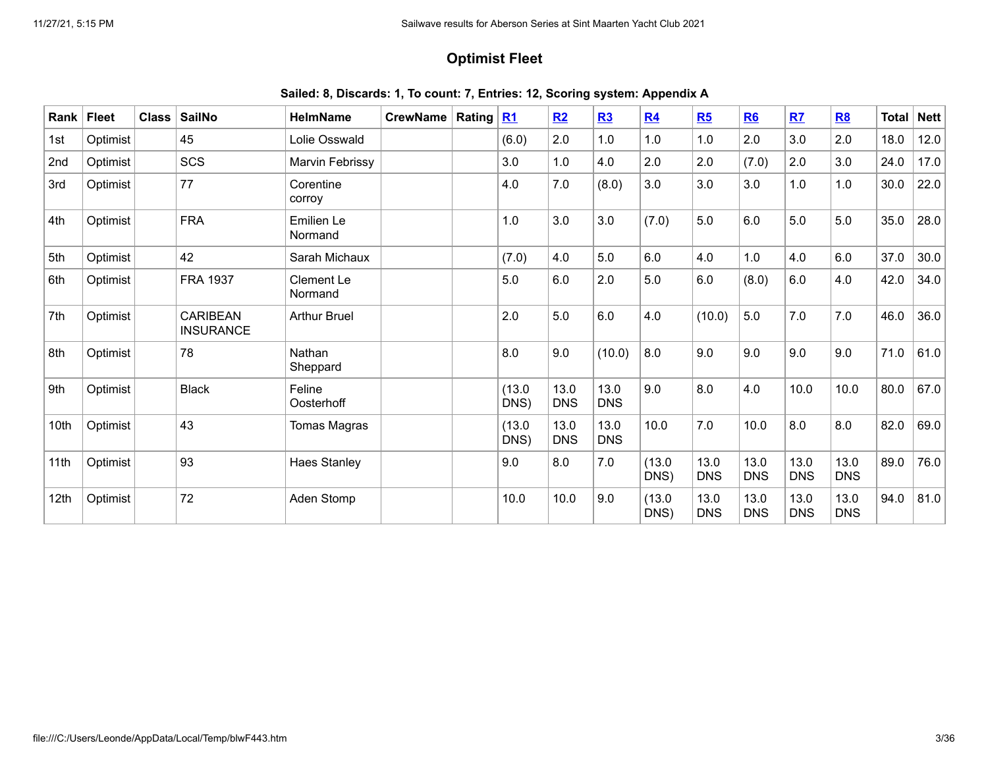## **Optimist Fleet**

|  |  |  |  |  |  |  | Sailed: 8, Discards: 1, To count: 7, Entries: 12, Scoring system: Appendix A |
|--|--|--|--|--|--|--|------------------------------------------------------------------------------|
|--|--|--|--|--|--|--|------------------------------------------------------------------------------|

| Rank | <b>Fleet</b> | <b>Class</b> | <b>SailNo</b>                | <b>HelmName</b>              | <b>CrewName</b> | Rating   R1 |                | R2                 | R3                 | R4             | R5                 | R6                 | R7                 | <b>R8</b>          | <b>Total</b> | <b>Nett</b> |
|------|--------------|--------------|------------------------------|------------------------------|-----------------|-------------|----------------|--------------------|--------------------|----------------|--------------------|--------------------|--------------------|--------------------|--------------|-------------|
| 1st  | Optimist     |              | 45                           | Lolie Osswald                |                 |             | (6.0)          | 2.0                | 1.0                | 1.0            | 1.0                | 2.0                | 3.0                | 2.0                | 18.0         | 12.0        |
| 2nd  | Optimist     |              | <b>SCS</b>                   | Marvin Febrissy              |                 |             | 3.0            | 1.0                | 4.0                | 2.0            | 2.0                | (7.0)              | 2.0                | 3.0                | 24.0         | 17.0        |
| 3rd  | Optimist     |              | 77                           | Corentine<br>corroy          |                 |             | 4.0            | 7.0                | (8.0)              | 3.0            | 3.0                | 3.0                | 1.0                | 1.0                | 30.0         | 22.0        |
| 4th  | Optimist     |              | <b>FRA</b>                   | Emilien Le<br>Normand        |                 |             | 1.0            | 3.0                | 3.0                | (7.0)          | 5.0                | 6.0                | 5.0                | 5.0                | 35.0         | 28.0        |
| 5th  | Optimist     |              | 42                           | Sarah Michaux                |                 |             | (7.0)          | 4.0                | 5.0                | 6.0            | 4.0                | 1.0                | 4.0                | 6.0                | 37.0         | 30.0        |
| 6th  | Optimist     |              | <b>FRA 1937</b>              | <b>Clement Le</b><br>Normand |                 |             | 5.0            | 6.0                | 2.0                | 5.0            | 6.0                | (8.0)              | 6.0                | 4.0                | 42.0         | 34.0        |
| 7th  | Optimist     |              | CARIBEAN<br><b>INSURANCE</b> | <b>Arthur Bruel</b>          |                 |             | 2.0            | 5.0                | 6.0                | 4.0            | (10.0)             | 5.0                | 7.0                | 7.0                | 46.0         | 36.0        |
| 8th  | Optimist     |              | 78                           | Nathan<br>Sheppard           |                 |             | 8.0            | 9.0                | (10.0)             | 8.0            | 9.0                | 9.0                | 9.0                | 9.0                | 71.0         | 61.0        |
| 9th  | Optimist     |              | <b>Black</b>                 | Feline<br>Oosterhoff         |                 |             | (13.0)<br>DNS) | 13.0<br><b>DNS</b> | 13.0<br><b>DNS</b> | 9.0            | 8.0                | 4.0                | 10.0               | 10.0               | 80.0         | 67.0        |
| 10th | Optimist     |              | 43                           | Tomas Magras                 |                 |             | (13.0)<br>DNS) | 13.0<br><b>DNS</b> | 13.0<br><b>DNS</b> | 10.0           | 7.0                | 10.0               | 8.0                | 8.0                | 82.0         | 69.0        |
| 11th | Optimist     |              | 93                           | Haes Stanley                 |                 |             | 9.0            | 8.0                | 7.0                | (13.0)<br>DNS) | 13.0<br><b>DNS</b> | 13.0<br><b>DNS</b> | 13.0<br><b>DNS</b> | 13.0<br><b>DNS</b> | 89.0         | 76.0        |
| 12th | Optimist     |              | 72                           | Aden Stomp                   |                 |             | 10.0           | 10.0               | 9.0                | (13.0)<br>DNS) | 13.0<br><b>DNS</b> | 13.0<br><b>DNS</b> | 13.0<br><b>DNS</b> | 13.0<br><b>DNS</b> | 94.0         | 81.0        |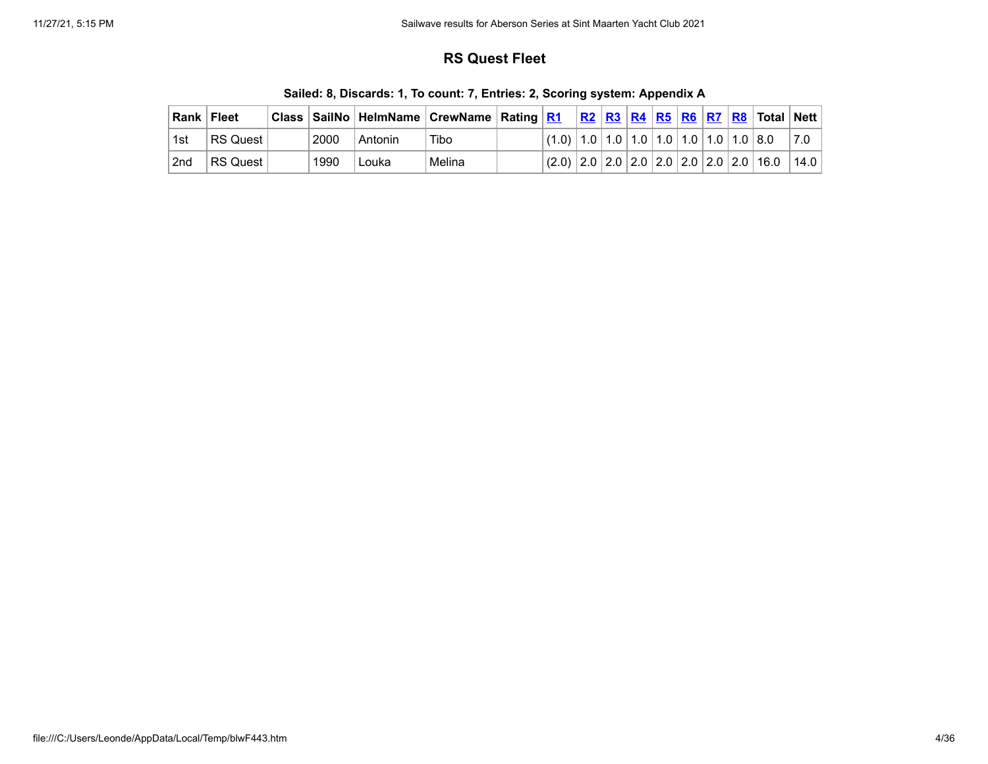## **RS Quest Fleet**

|       | <b>Rank   Fleet</b>    |      |         |        |                                                                                  |  |  |  | <u>R2</u>   <u>R3</u>   <u>R4</u>   <u>R5</u>   <u>R6</u>   R7   R8   Total   Nett |      |
|-------|------------------------|------|---------|--------|----------------------------------------------------------------------------------|--|--|--|------------------------------------------------------------------------------------|------|
| ∣ 1st | ⊺RS Quest I            | 2000 | Antonin | Tibo   | $^{+}(1.0)\, \,1.0\, \,1.0\, \,1.0\, \,1.0\, \,1.0\, \,1.0\, \,1.0\, \,8.0\, \,$ |  |  |  |                                                                                    | 7.0  |
| 2nd   | ⊦RS Quest <sup>⊦</sup> | 1990 | Louka   | Melina |                                                                                  |  |  |  | $(2.0)$ $  2.0   2.0   2.0   2.0   2.0   2.0   2.0   16.0$                         | 14.0 |

**Sailed: 8, Discards: 1, To count: 7, Entries: 2, Scoring system: Appendix A**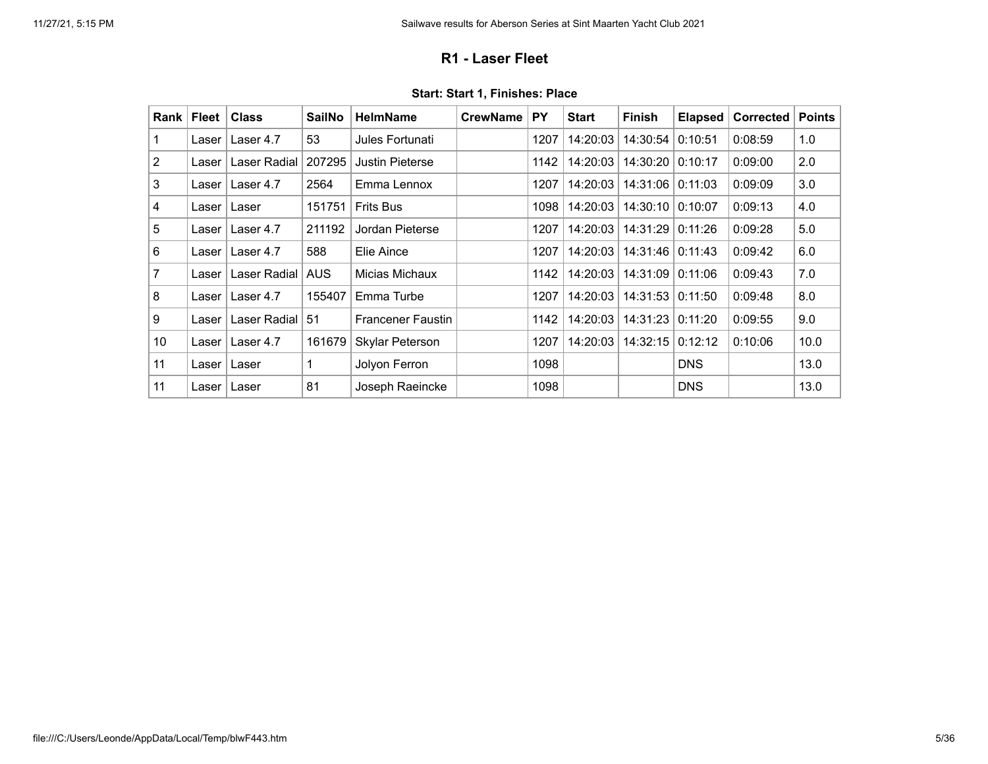### **R1 - Laser Fleet**

<span id="page-4-0"></span>

| Rank            | <b>Fleet</b> | <b>Class</b> | <b>SailNo</b> | <b>HelmName</b>          | <b>CrewName</b> | PY   | <b>Start</b> | <b>Finish</b> | <b>Elapsed</b> | <b>Corrected</b> | <b>Points</b> |
|-----------------|--------------|--------------|---------------|--------------------------|-----------------|------|--------------|---------------|----------------|------------------|---------------|
| 1               | Laser        | Laser 4.7    | 53            | Jules Fortunati          |                 | 1207 | 14:20:03     | 14:30:54      | 0:10:51        | 0:08:59          | 1.0           |
| 2               | Laser        | Laser Radial | 207295        | <b>Justin Pieterse</b>   |                 | 1142 | 14:20:03     | 14:30:20      | 0:10:17        | 0:09:00          | 2.0           |
| 3               | Laser l      | Laser 4.7    | 2564          | Emma Lennox              |                 | 1207 | 14:20:03     | 14:31:06      | 0:11:03        | 0:09:09          | 3.0           |
| 4               | Laser l      | Laser        | 151751        | <b>Frits Bus</b>         |                 | 1098 | 14:20:03     | 14:30:10      | 0:10:07        | 0:09:13          | 4.0           |
| 5               | Laser        | Laser 4.7    | 211192        | Jordan Pieterse          |                 | 1207 | 14:20:03     | 14:31:29      | 0:11:26        | 0:09:28          | 5.0           |
| $\,6$           | Laser l      | Laser 4.7    | 588           | Elie Aince               |                 | 1207 | 14:20:03     | 14:31:46      | 0:11:43        | 0:09:42          | 6.0           |
| 7               | Laser        | Laser Radial | <b>AUS</b>    | Micias Michaux           |                 | 1142 | 14:20:03     | 14:31:09      | 0:11:06        | 0:09:43          | 7.0           |
| 8               | Laser        | Laser 4.7    | 155407        | Emma Turbe               |                 | 1207 | 14:20:03     | 14:31:53      | 0:11:50        | 0:09:48          | 8.0           |
| 9               | Laser        | Laser Radial | 51            | <b>Francener Faustin</b> |                 | 1142 | 14:20:03     | 14:31:23      | 0:11:20        | 0:09:55          | 9.0           |
| 10 <sup>°</sup> | Laser l      | Laser 4.7    | 161679        | Skylar Peterson          |                 | 1207 | 14:20:03     | 14:32:15      | 0:12:12        | 0:10:06          | 10.0          |
| 11              | Laser        | Laser        | 1             | Jolyon Ferron            |                 | 1098 |              |               | <b>DNS</b>     |                  | 13.0          |
| 11              | Laser        | Laser        | 81            | Joseph Raeincke          |                 | 1098 |              |               | <b>DNS</b>     |                  | 13.0          |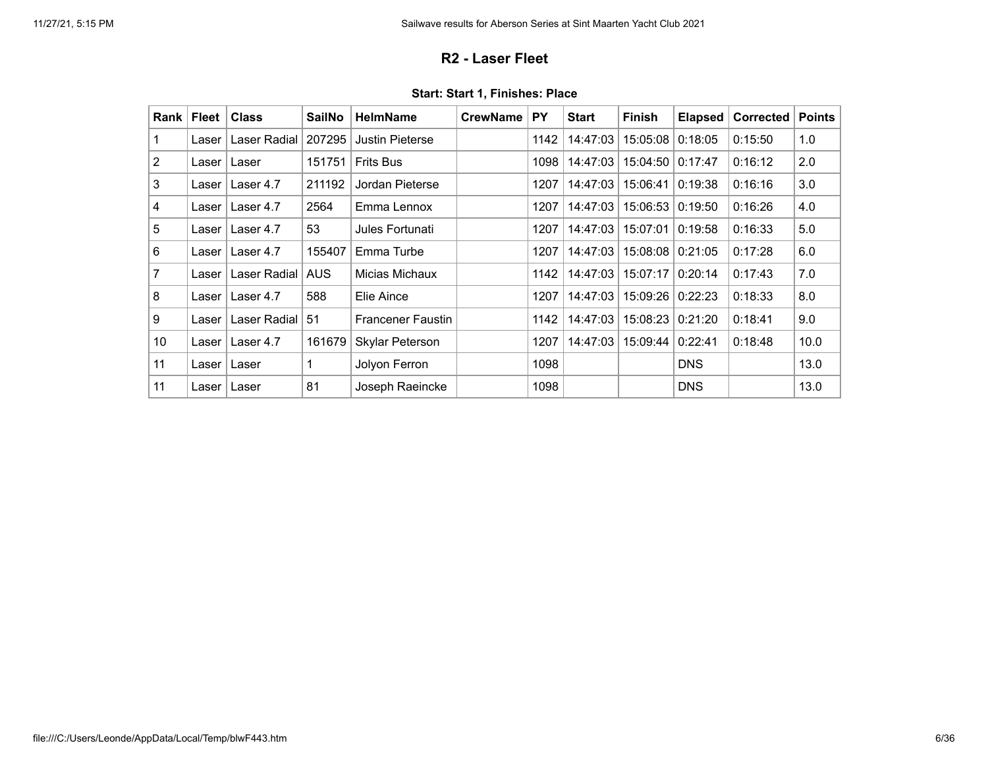## **R2 - Laser Fleet**

<span id="page-5-0"></span>

| Rank            | <b>Fleet</b> | <b>Class</b> | <b>SailNo</b> | <b>HelmName</b>          | <b>CrewName</b> | PY   | <b>Start</b> | <b>Finish</b> | <b>Elapsed</b> | <b>Corrected</b> | <b>Points</b> |
|-----------------|--------------|--------------|---------------|--------------------------|-----------------|------|--------------|---------------|----------------|------------------|---------------|
| $\mathbf 1$     | Laser        | Laser Radial | 207295        | <b>Justin Pieterse</b>   |                 | 1142 | 14:47:03     | 15:05:08      | 0:18:05        | 0:15:50          | 1.0           |
| $\overline{2}$  | Laser        | Laser        | 151751        | <b>Frits Bus</b>         |                 | 1098 | 14:47:03     | 15:04:50      | 0:17:47        | 0:16:12          | 2.0           |
| 3               | Laser l      | Laser 4.7    | 211192        | Jordan Pieterse          |                 | 1207 | 14:47:03     | 15:06:41      | 0:19:38        | 0:16:16          | 3.0           |
| 4               | Laser I      | Laser 4.7    | 2564          | Emma Lennox              |                 | 1207 | 14:47:03     | 15:06:53      | 0:19:50        | 0:16:26          | 4.0           |
| 5               | Laser        | Laser 4.7    | 53            | Jules Fortunati          |                 | 1207 | 14:47:03     | 15:07:01      | 0:19:58        | 0:16:33          | 5.0           |
| $6\phantom{1}$  | Laser l      | Laser 4.7    | 155407        | Emma Turbe               |                 | 1207 | 14:47:03     | 15:08:08      | 0:21:05        | 0:17:28          | 6.0           |
| 7               | Laser        | Laser Radial | <b>AUS</b>    | Micias Michaux           |                 | 1142 | 14:47:03     | 15:07:17      | 0:20:14        | 0:17:43          | 7.0           |
| 8               | Laser        | Laser 4.7    | 588           | Elie Aince               |                 | 1207 | 14:47:03     | 15:09:26      | 0:22:23        | 0:18:33          | 8.0           |
| 9               | Laser        | Laser Radial | 51            | <b>Francener Faustin</b> |                 | 1142 | 14:47:03     | 15:08:23      | 0:21:20        | 0:18:41          | 9.0           |
| 10 <sup>°</sup> | Laser l      | Laser 4.7    | 161679        | Skylar Peterson          |                 | 1207 | 14:47:03     | 15:09:44      | 0:22:41        | 0:18:48          | 10.0          |
| 11              | Laser        | Laser        | 1             | Jolyon Ferron            |                 | 1098 |              |               | <b>DNS</b>     |                  | 13.0          |
| 11              | Laser        | Laser        | 81            | Joseph Raeincke          |                 | 1098 |              |               | <b>DNS</b>     |                  | 13.0          |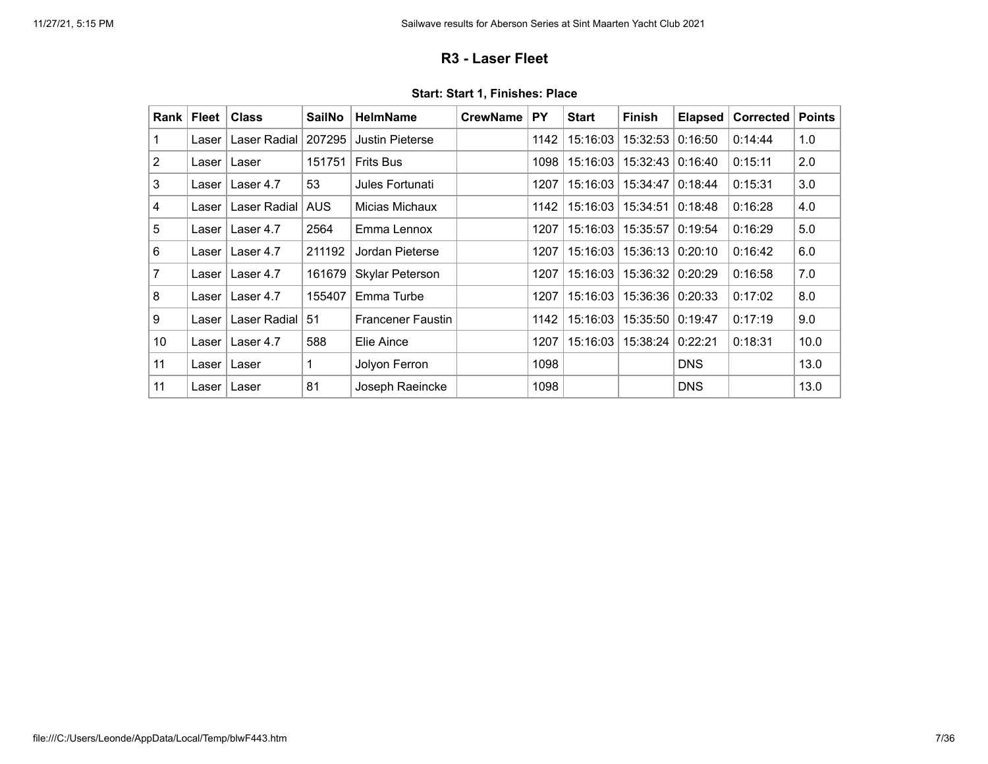## **R3 - Laser Fleet**

<span id="page-6-0"></span>

| Rank            | <b>Fleet</b> | <b>Class</b> | <b>SailNo</b> | <b>HelmName</b>          | <b>CrewName</b> | PY   | <b>Start</b> | <b>Finish</b> | <b>Elapsed</b> | <b>Corrected</b> | <b>Points</b> |
|-----------------|--------------|--------------|---------------|--------------------------|-----------------|------|--------------|---------------|----------------|------------------|---------------|
| 1               | Laser        | Laser Radial | 207295        | <b>Justin Pieterse</b>   |                 | 1142 | 15:16:03     | 15:32:53      | 0:16:50        | 0:14:44          | 1.0           |
| $\overline{2}$  | Laser l      | Laser        | 151751        | <b>Frits Bus</b>         |                 | 1098 | 15:16:03     | 15:32:43      | 0:16:40        | 0:15:11          | 2.0           |
| 3               | Laser l      | Laser 4.7    | 53            | Jules Fortunati          |                 | 1207 | 15:16:03     | 15:34:47      | 0:18:44        | 0:15:31          | 3.0           |
| 4               | Laser        | Laser Radial | <b>AUS</b>    | Micias Michaux           |                 | 1142 | 15:16:03     | 15:34:51      | 0:18:48        | 0:16:28          | 4.0           |
| 5               | Laser        | Laser 4.7    | 2564          | Emma Lennox              |                 | 1207 | 15:16:03     | 15:35:57      | 0:19:54        | 0:16:29          | 5.0           |
| $6\phantom{1}$  | Laser I      | Laser 4.7    | 211192        | Jordan Pieterse          |                 | 1207 | 15:16:03     | 15:36:13      | 0:20:10        | 0:16:42          | 6.0           |
| 7               | Laser l      | Laser 4.7    | 161679        | Skylar Peterson          |                 | 1207 | 15:16:03     | 15:36:32      | 0:20:29        | 0:16:58          | 7.0           |
| 8               | Laser        | Laser 4.7    | 155407        | Emma Turbe               |                 | 1207 | 15:16:03     | 15:36:36      | 0:20:33        | 0:17:02          | 8.0           |
| 9               | Laser        | Laser Radial | 51            | <b>Francener Faustin</b> |                 | 1142 | 15:16:03     | 15:35:50      | 0:19:47        | 0:17:19          | 9.0           |
| 10 <sup>°</sup> | Laser l      | Laser 4.7    | 588           | Elie Aince               |                 | 1207 | 15:16:03     | 15:38:24      | 0:22:21        | 0:18:31          | 10.0          |
| 11              | Laser        | Laser        | 1             | Jolyon Ferron            |                 | 1098 |              |               | <b>DNS</b>     |                  | 13.0          |
| 11              | Laser        | Laser        | 81            | Joseph Raeincke          |                 | 1098 |              |               | <b>DNS</b>     |                  | 13.0          |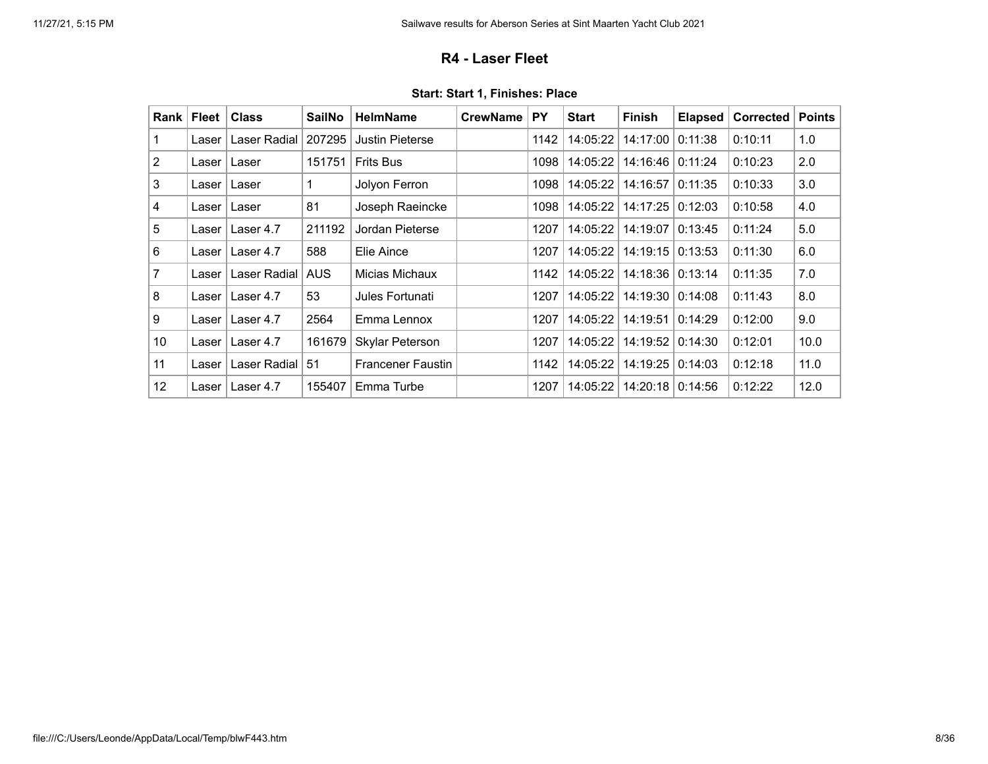### **R4 - Laser Fleet**

<span id="page-7-0"></span>

| Rank | <b>Fleet</b> | <b>Class</b> | <b>SailNo</b> | <b>HelmName</b>          | <b>CrewName</b> | <b>PY</b> | <b>Start</b> | <b>Finish</b>      | <b>Elapsed</b> | <b>Corrected</b> | <b>Points</b> |
|------|--------------|--------------|---------------|--------------------------|-----------------|-----------|--------------|--------------------|----------------|------------------|---------------|
| 1    | Laser        | Laser Radial | 207295        | <b>Justin Pieterse</b>   |                 | 1142      | 14:05:22     | 14:17:00           | 0:11:38        | 0:10:11          | 1.0           |
| 2    | Laser        | Laser        | 151751        | <b>Frits Bus</b>         |                 | 1098      | 14:05:22     | 14:16:46   0:11:24 |                | 0:10:23          | 2.0           |
| 3    | Laser        | Laser        | 1             | Jolyon Ferron            |                 | 1098      | 14:05:22     | 14:16:57           | 0:11:35        | 0:10:33          | 3.0           |
| 4    | Laser        | Laser        | 81            | Joseph Raeincke          |                 | 1098      | 14:05:22     | 14:17:25   0:12:03 |                | 0:10:58          | 4.0           |
| 5    | Laser        | Laser 4.7    | 211192        | Jordan Pieterse          |                 | 1207      | 14:05:22     | 14:19:07           | 0:13:45        | 0:11:24          | 5.0           |
| 6    | Laser l      | Laser 4.7    | 588           | Elie Aince               |                 | 1207      | 14:05:22     | 14:19:15 0:13:53   |                | 0:11:30          | 6.0           |
| 7    | Laser        | Laser Radial | <b>AUS</b>    | Micias Michaux           |                 | 1142      | 14:05:22     | 14:18:36 0:13:14   |                | 0:11:35          | 7.0           |
| 8    | Laser        | Laser 4.7    | 53            | Jules Fortunati          |                 | 1207      | 14:05:22     | 14:19:30   0:14:08 |                | 0:11:43          | 8.0           |
| 9    | Laser        | Laser 4.7    | 2564          | Emma Lennox              |                 | 1207      | 14:05:22     | 14:19:51           | 0:14:29        | 0:12:00          | 9.0           |
| 10   | Laser        | Laser 4.7    | 161679        | Skylar Peterson          |                 | 1207      | 14:05:22     | 14:19:52           | 0:14:30        | 0:12:01          | 10.0          |
| 11   | Laser        | Laser Radial | 51            | <b>Francener Faustin</b> |                 | 1142      | 14:05:22     | 14:19:25   0:14:03 |                | 0:12:18          | 11.0          |
| 12   | Laser        | Laser 4.7    | 155407        | Emma Turbe               |                 | 1207      | 14:05:22     | 14:20:18 0:14:56   |                | 0:12:22          | 12.0          |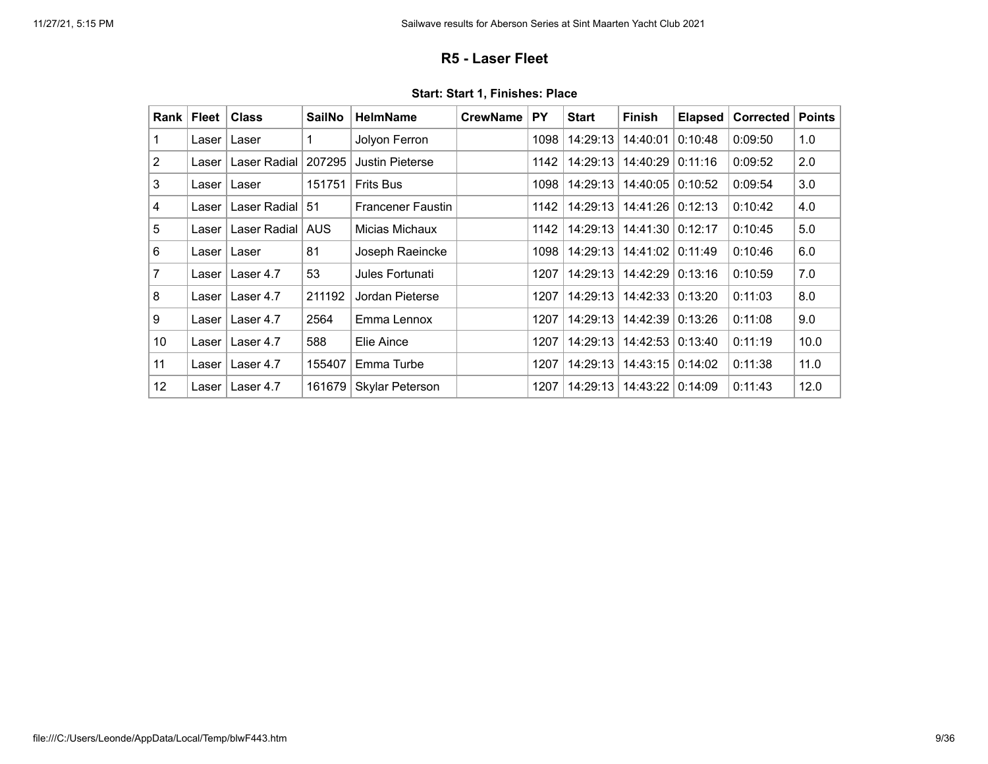## **R5 - Laser Fleet**

<span id="page-8-0"></span>

| Rank           | <b>Fleet</b> | <b>Class</b> | <b>SailNo</b> | <b>HelmName</b>          | <b>CrewName</b> | <b>PY</b> | <b>Start</b> | <b>Finish</b>      | <b>Elapsed</b> | Corrected | <b>Points</b> |
|----------------|--------------|--------------|---------------|--------------------------|-----------------|-----------|--------------|--------------------|----------------|-----------|---------------|
| 1              | Laser        | Laser        |               | Jolyon Ferron            |                 | 1098      | 14:29:13     | 14:40:01           | 0:10:48        | 0:09:50   | 1.0           |
| 2              | Laser        | Laser Radial | 207295        | Justin Pieterse          |                 | 1142      | 14:29:13     | 14:40:29           | 0:11:16        | 0:09:52   | 2.0           |
| 3              | Laser        | Laser        | 151751        | <b>Frits Bus</b>         |                 | 1098      | 14:29:13     | 14:40:05           | 0:10:52        | 0:09:54   | 3.0           |
| 4              | Laser        | Laser Radial | -51           | <b>Francener Faustin</b> |                 | 1142      | 14:29:13     | 14:41:26   0:12:13 |                | 0:10:42   | 4.0           |
| 5              | Laser        | Laser Radial | <b>AUS</b>    | Micias Michaux           |                 | 1142      | 14:29:13     | 14:41:30   0:12:17 |                | 0:10:45   | 5.0           |
| 6              | Laser l      | Laser        | 81            | Joseph Raeincke          |                 | 1098      | 14:29:13     | 14:41:02   0:11:49 |                | 0:10:46   | 6.0           |
| $\overline{7}$ | Laser l      | Laser 4.7    | 53            | Jules Fortunati          |                 | 1207      | 14:29:13     | 14:42:29 0:13:16   |                | 0:10:59   | 7.0           |
| 8              | Laser        | Laser 4.7    | 211192        | Jordan Pieterse          |                 | 1207      | 14:29:13     | 14:42:33 0:13:20   |                | 0:11:03   | 8.0           |
| 9              | Laser        | Laser 4.7    | 2564          | Emma Lennox              |                 | 1207      | 14:29:13     | 14:42:39           | 0:13:26        | 0:11:08   | 9.0           |
| 10             | Laser I      | Laser 4.7    | 588           | Elie Aince               |                 | 1207      | 14:29:13     | 14:42:53           | 0:13:40        | 0:11:19   | 10.0          |
| 11             | Laser l      | Laser 4.7    | 155407        | Emma Turbe               |                 | 1207      | 14:29:13     | 14:43:15 0:14:02   |                | 0:11:38   | 11.0          |
| 12             | Laser        | Laser 4.7    | 161679        | Skylar Peterson          |                 | 1207      | 14:29:13     | 14:43:22 0:14:09   |                | 0:11:43   | 12.0          |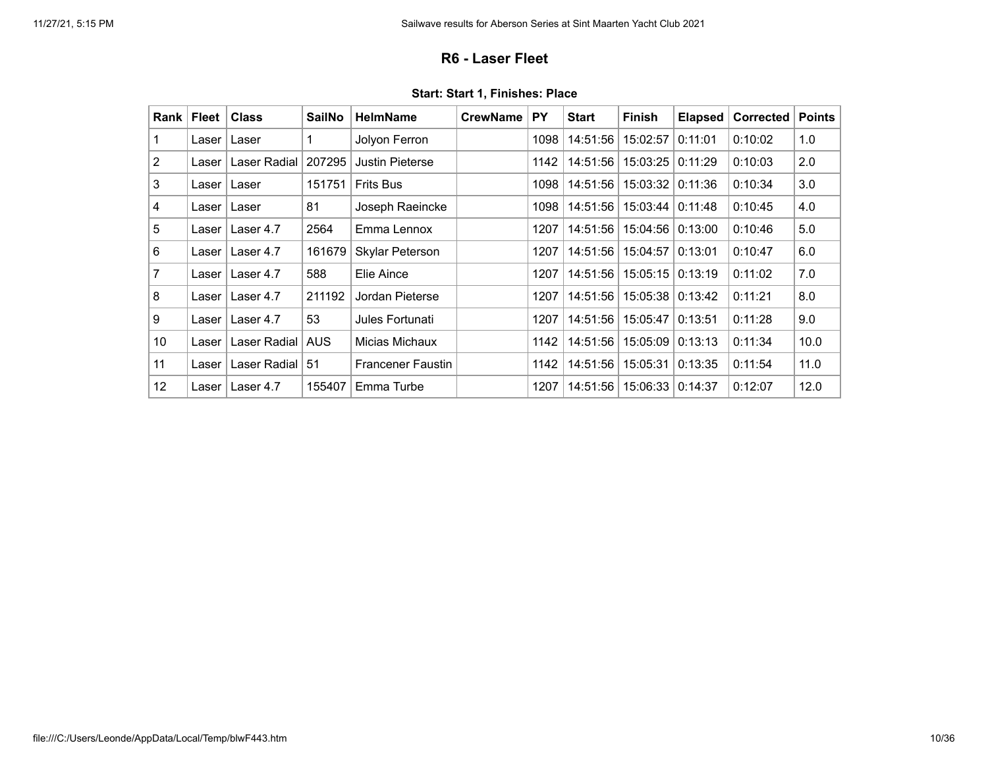### **R6 - Laser Fleet**

<span id="page-9-0"></span>

| Rank           | <b>Fleet</b> | <b>Class</b> | <b>SailNo</b> | <b>HelmName</b>          | <b>CrewName</b> | <b>PY</b> | <b>Start</b> | <b>Finish</b>           | <b>Elapsed</b> | <b>Corrected</b> | <b>Points</b> |
|----------------|--------------|--------------|---------------|--------------------------|-----------------|-----------|--------------|-------------------------|----------------|------------------|---------------|
| 1              | Laser        | Laser        |               | Jolyon Ferron            |                 | 1098      | 14:51:56     | 15:02:57                | 0:11:01        | 0:10:02          | 1.0           |
| 2              | Laser        | Laser Radial | 207295        | <b>Justin Pieterse</b>   |                 | 1142      | 14:51:56     | 15:03:25                | 0:11:29        | 0:10:03          | 2.0           |
| 3              | Laser l      | Laser        | 151751        | <b>Frits Bus</b>         |                 | 1098      | 14:51:56     | $15:03:32 \mid 0:11:36$ |                | 0:10:34          | 3.0           |
| 4              | Laser        | Laser        | 81            | Joseph Raeincke          |                 | 1098      | 14:51:56     | 15:03:44 0:11:48        |                | 0:10:45          | 4.0           |
| 5              | Laser        | Laser 4.7    | 2564          | Emma Lennox              |                 | 1207      | 14:51:56     | 15:04:56   0:13:00      |                | 0:10:46          | 5.0           |
| 6              | Laser l      | Laser 4.7    | 161679        | Skylar Peterson          |                 | 1207      | 14:51:56     | 15:04:57                | 0:13:01        | 0:10:47          | 6.0           |
| $\overline{7}$ | Laser l      | Laser 4.7    | 588           | Elie Aince               |                 | 1207      | 14:51:56     | 15:05:15                | 0:13:19        | 0:11:02          | 7.0           |
| 8              | Laser        | Laser 4.7    | 211192        | Jordan Pieterse          |                 | 1207      | 14:51:56     | 15:05:38 0:13:42        |                | 0:11:21          | 8.0           |
| 9              | Laser        | Laser 4.7    | 53            | Jules Fortunati          |                 | 1207      | 14:51:56     | 15:05:47                | 0:13:51        | 0:11:28          | 9.0           |
| 10             | Laser        | Laser Radial | <b>AUS</b>    | Micias Michaux           |                 | 1142      | 14:51:56     | 15:05:09                | 0:13:13        | 0:11:34          | 10.0          |
| 11             | Laser        | Laser Radial | 51            | <b>Francener Faustin</b> |                 | 1142      | 14:51:56     | 15:05:31                | 0:13:35        | 0:11:54          | 11.0          |
| 12             | Laser        | Laser 4.7    | 155407        | Emma Turbe               |                 | 1207      | 14:51:56     | 15:06:33 0:14:37        |                | 0:12:07          | 12.0          |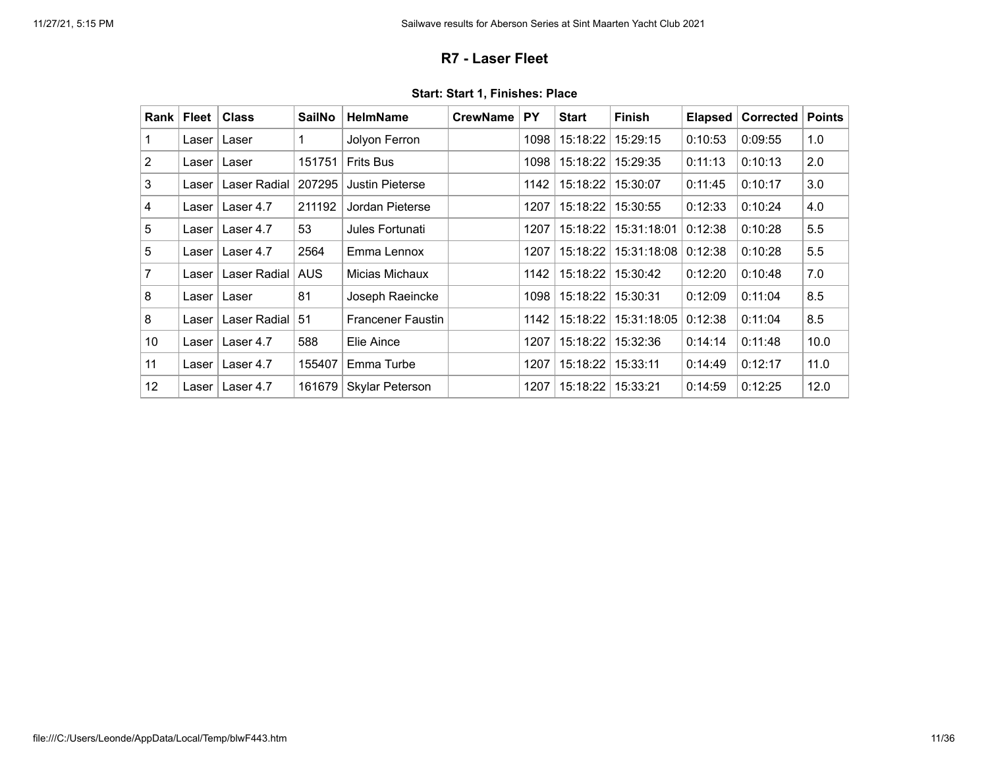## **R7 - Laser Fleet**

<span id="page-10-0"></span>

| <b>Rank</b>    | <b>Fleet</b> | <b>Class</b> | <b>SailNo</b> | <b>HelmName</b>          | <b>CrewName</b> | <b>PY</b> | <b>Start</b> | <b>Finish</b> | <b>Elapsed</b> | Corrected | <b>Points</b> |
|----------------|--------------|--------------|---------------|--------------------------|-----------------|-----------|--------------|---------------|----------------|-----------|---------------|
|                | Laser        | Laser        | 1             | Jolyon Ferron            |                 | 1098      | 15:18:22     | 15:29:15      | 0:10:53        | 0:09:55   | 1.0           |
| $\overline{2}$ | Laser        | Laser        | 151751        | <b>Frits Bus</b>         |                 | 1098      | 15:18:22     | 15:29:35      | 0:11:13        | 0:10:13   | 2.0           |
| 3              | Laser        | Laser Radial | 207295        | <b>Justin Pieterse</b>   |                 | 1142      | 15:18:22     | 15:30:07      | 0:11:45        | 0:10:17   | 3.0           |
| 4              | Laser        | Laser 4.7    | 211192        | Jordan Pieterse          |                 | 1207      | 15:18:22     | 15:30:55      | 0:12:33        | 0:10:24   | 4.0           |
| 5              | Laser        | Laser 4.7    | 53            | Jules Fortunati          |                 | 1207      | 15:18:22     | 15:31:18:01   | 0:12:38        | 0:10:28   | 5.5           |
| 5              | Laser        | Laser 4.7    | 2564          | Emma Lennox              |                 | 1207      | 15:18:22     | 15:31:18:08   | 0:12:38        | 0:10:28   | 5.5           |
| 7              | Laser        | Laser Radial | <b>AUS</b>    | Micias Michaux           |                 | 1142      | 15:18:22     | 15:30:42      | 0:12:20        | 0:10:48   | 7.0           |
| 8              | Laser        | Laser        | 81            | Joseph Raeincke          |                 | 1098      | 15:18:22     | 15:30:31      | 0:12:09        | 0:11:04   | 8.5           |
| 8              | Laser        | Laser Radial | 51            | <b>Francener Faustin</b> |                 | 1142      | 15:18:22     | 15:31:18:05   | 0:12:38        | 0:11:04   | 8.5           |
| 10             | Laser        | Laser 4.7    | 588           | Elie Aince               |                 | 1207      | 15:18:22     | 15:32:36      | 0:14:14        | 0:11:48   | 10.0          |
| 11             | Laser        | Laser 4.7    | 155407        | Emma Turbe               |                 | 1207      | 15:18:22     | 15:33:11      | 0:14:49        | 0:12:17   | 11.0          |
| 12             | Laser        | Laser 4.7    | 161679        | Skylar Peterson          |                 | 1207      | 15:18:22     | 15:33:21      | 0:14:59        | 0:12:25   | 12.0          |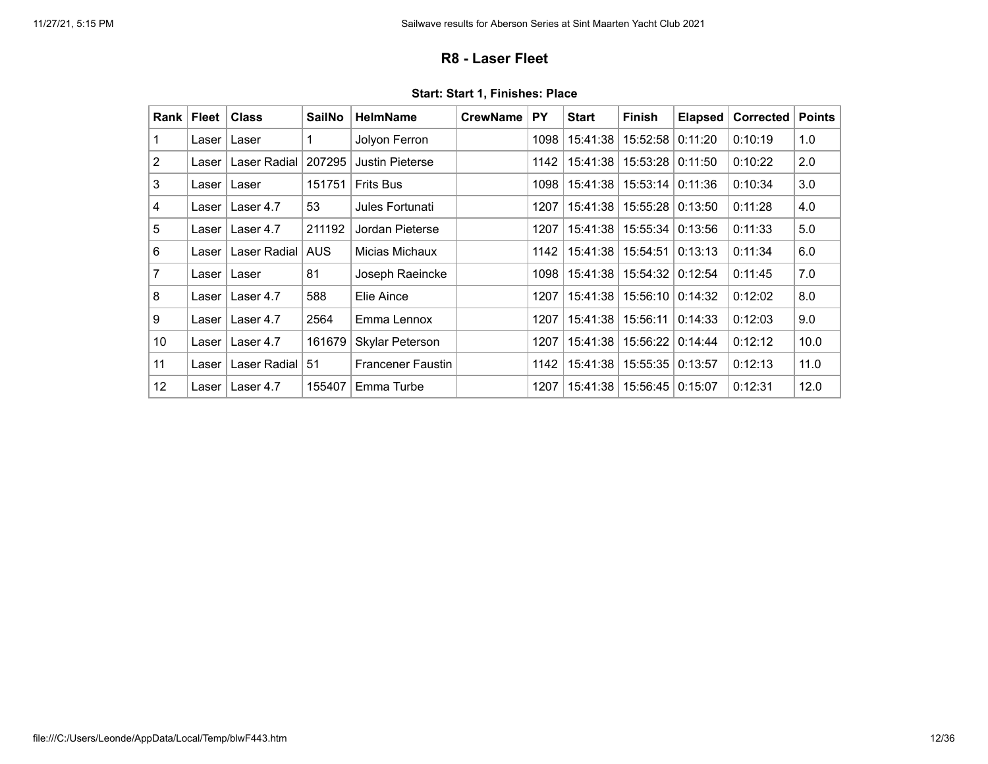### **R8 - Laser Fleet**

<span id="page-11-0"></span>

| Rank           | <b>Fleet</b> | <b>Class</b> | <b>SailNo</b> | <b>HelmName</b>          | <b>CrewName</b> | <b>PY</b> | <b>Start</b> | <b>Finish</b> | <b>Elapsed</b> | <b>Corrected</b> | <b>Points</b> |
|----------------|--------------|--------------|---------------|--------------------------|-----------------|-----------|--------------|---------------|----------------|------------------|---------------|
| 1              | Laser        | Laser        | 1             | Jolyon Ferron            |                 | 1098      | 15:41:38     | 15:52:58      | 0:11:20        | 0:10:19          | 1.0           |
| 2              | Laser        | Laser Radial | 207295        | <b>Justin Pieterse</b>   |                 | 1142      | 15:41:38     | 15:53:28      | 0:11:50        | 0:10:22          | 2.0           |
| 3              | Laser l      | Laser        | 151751        | <b>Frits Bus</b>         |                 | 1098      | 15:41:38     | 15:53:14      | 0:11:36        | 0:10:34          | 3.0           |
| 4              | Laser        | Laser 4.7    | 53            | Jules Fortunati          |                 | 1207      | 15:41:38     | 15:55:28      | 0:13:50        | 0:11:28          | 4.0           |
| 5              | Laser        | Laser 4.7    | 211192        | Jordan Pieterse          |                 | 1207      | 15:41:38     | 15:55:34      | 0:13:56        | 0:11:33          | 5.0           |
| 6              | Laser        | Laser Radial | <b>AUS</b>    | Micias Michaux           |                 | 1142      | 15:41:38     | 15:54:51      | 0:13:13        | 0:11:34          | 6.0           |
| $\overline{7}$ | Laser I      | Laser        | 81            | Joseph Raeincke          |                 | 1098      | 15:41:38     | 15:54:32      | 0:12:54        | 0:11:45          | 7.0           |
| 8              | Laser        | Laser 4.7    | 588           | Elie Aince               |                 | 1207      | 15:41:38     | 15:56:10      | 0:14:32        | 0:12:02          | 8.0           |
| 9              | Laser        | Laser 4.7    | 2564          | Emma Lennox              |                 | 1207      | 15:41:38     | 15:56:11      | 0:14:33        | 0:12:03          | 9.0           |
| 10             | Laser l      | Laser 4.7    | 161679        | Skylar Peterson          |                 | 1207      | 15:41:38     | 15:56:22      | 0:14:44        | 0:12:12          | 10.0          |
| 11             | Laser        | Laser Radial | 51            | <b>Francener Faustin</b> |                 | 1142      | 15:41:38     | 15:55:35      | 0:13:57        | 0:12:13          | 11.0          |
| 12             | Laser        | Laser 4.7    | 155407        | Emma Turbe               |                 | 1207      | 15:41:38     | 15:56:45      | 0:15:07        | 0:12:31          | 12.0          |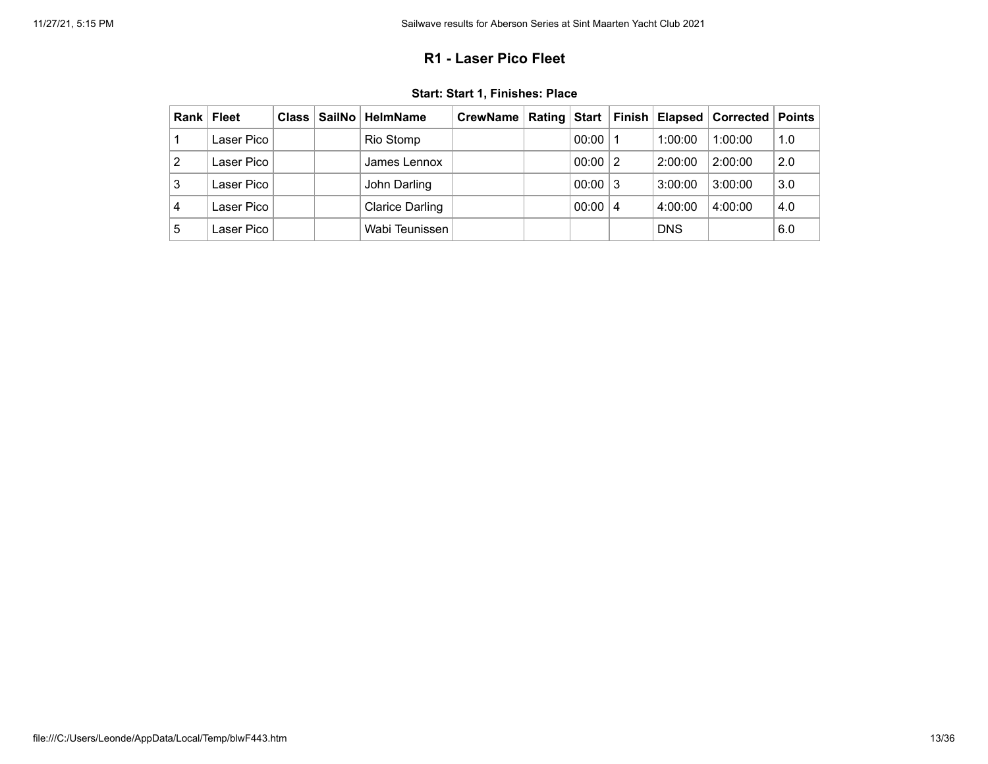## **R1 - Laser Pico Fleet**

<span id="page-12-0"></span>

| Rank | Fleet      | Class | ∣ SailNo ∣ HelmName    | CrewName   Rating   Start   Finish   Elapsed   Corrected   Points |       |                |            |         |     |
|------|------------|-------|------------------------|-------------------------------------------------------------------|-------|----------------|------------|---------|-----|
|      | Laser Pico |       | Rio Stomp              |                                                                   | 00:00 |                | 1:00:00    | 1:00:00 | 1.0 |
| 2    | Laser Pico |       | James Lennox           |                                                                   | 00:00 | $\overline{2}$ | 2:00:00    | 2:00:00 | 2.0 |
| 3    | Laser Pico |       | John Darling           |                                                                   | 00:00 | -3             | 3:00:00    | 3:00:00 | 3.0 |
| 4    | Laser Pico |       | <b>Clarice Darling</b> |                                                                   | 00:00 | 4              | 4:00:00    | 4:00:00 | 4.0 |
| 5    | Laser Pico |       | Wabi Teunissen         |                                                                   |       |                | <b>DNS</b> |         | 6.0 |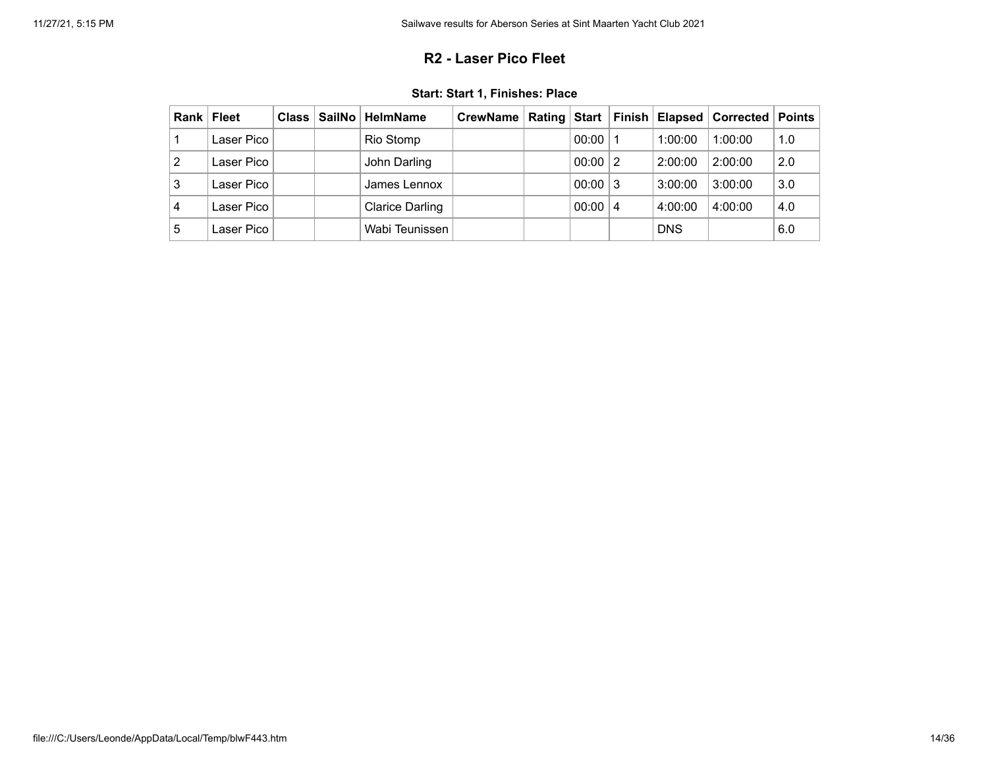## **R2 - Laser Pico Fleet**

|  |  |  |  |  | Start: Start 1, Finishes: Place |
|--|--|--|--|--|---------------------------------|
|--|--|--|--|--|---------------------------------|

<span id="page-13-0"></span>

| Rank | <b>Fleet</b> |  | Class   SailNo   HelmName | CrewName   Rating   Start   Finish   Elapsed   Corrected   Points |       |                |            |         |     |
|------|--------------|--|---------------------------|-------------------------------------------------------------------|-------|----------------|------------|---------|-----|
|      | Laser Pico   |  | Rio Stomp                 |                                                                   | 00:00 | ∣ 1            | 1:00:00    | 1:00:00 | 1.0 |
| 2    | Laser Pico   |  | John Darling              |                                                                   | 00:00 | $\overline{2}$ | 2:00:00    | 2:00:00 | 2.0 |
| 3    | Laser Pico   |  | James Lennox              |                                                                   | 00:00 | ∣3             | 3:00:00    | 3:00:00 | 3.0 |
| 4    | Laser Pico   |  | <b>Clarice Darling</b>    |                                                                   | 00:00 | -4             | 4:00:00    | 4:00:00 | 4.0 |
| 5    | Laser Pico   |  | Wabi Teunissen            |                                                                   |       |                | <b>DNS</b> |         | 6.0 |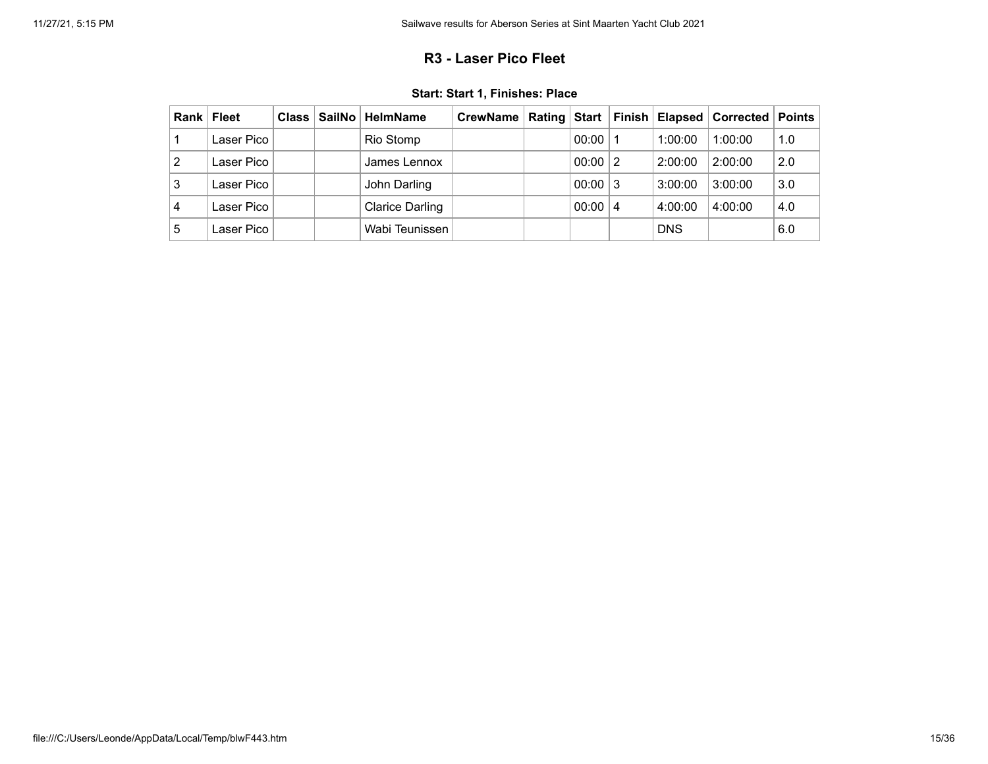## **R3 - Laser Pico Fleet**

<span id="page-14-0"></span>

| Rank | Fleet      | Class | ∣ SailNo ∣ HelmName    | CrewName   Rating   Start   Finish   Elapsed   Corrected   Points |       |                |            |         |     |
|------|------------|-------|------------------------|-------------------------------------------------------------------|-------|----------------|------------|---------|-----|
|      | Laser Pico |       | Rio Stomp              |                                                                   | 00:00 |                | 1:00:00    | 1:00:00 | 1.0 |
| 2    | Laser Pico |       | James Lennox           |                                                                   | 00:00 | $\overline{2}$ | 2:00:00    | 2:00:00 | 2.0 |
| 3    | Laser Pico |       | John Darling           |                                                                   | 00:00 | -3             | 3:00:00    | 3:00:00 | 3.0 |
| 4    | Laser Pico |       | <b>Clarice Darling</b> |                                                                   | 00:00 | 4              | 4:00:00    | 4:00:00 | 4.0 |
| 5    | Laser Pico |       | Wabi Teunissen         |                                                                   |       |                | <b>DNS</b> |         | 6.0 |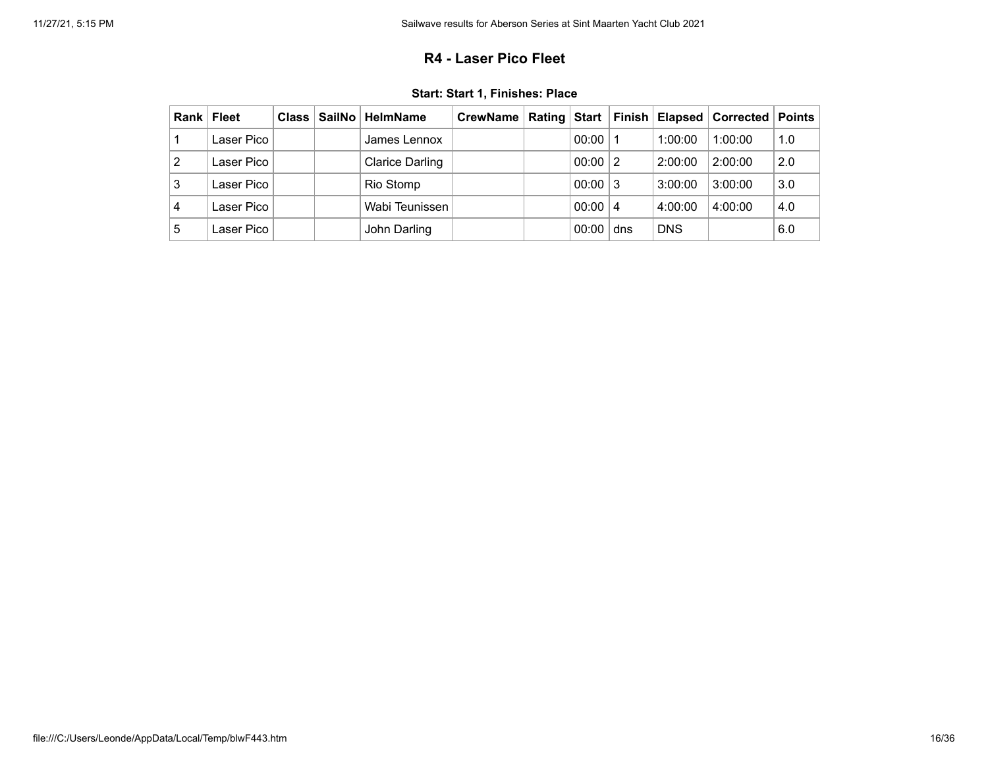### **R4 - Laser Pico Fleet**

<span id="page-15-0"></span>

|   | Rank   Fleet | <b>Class</b> | SailNo   HelmName      | CrewName   Rating   Start   Finish   Elapsed   Corrected   Points |       |                |            |         |     |
|---|--------------|--------------|------------------------|-------------------------------------------------------------------|-------|----------------|------------|---------|-----|
|   | Laser Pico   |              | James Lennox           |                                                                   | 00:00 |                | 1:00:00    | 1:00:00 | 1.0 |
| 2 | Laser Pico   |              | <b>Clarice Darling</b> |                                                                   | 00:00 | $\overline{2}$ | 2:00:00    | 2:00:00 | 2.0 |
| 3 | Laser Pico   |              | Rio Stomp              |                                                                   | 00:00 | ∣3             | 3:00:00    | 3:00:00 | 3.0 |
| 4 | Laser Pico   |              | Wabi Teunissen         |                                                                   | 00:00 | 4              | 4:00:00    | 4:00:00 | 4.0 |
| 5 | Laser Pico   |              | John Darling           |                                                                   | 00:00 | dns            | <b>DNS</b> |         | 6.0 |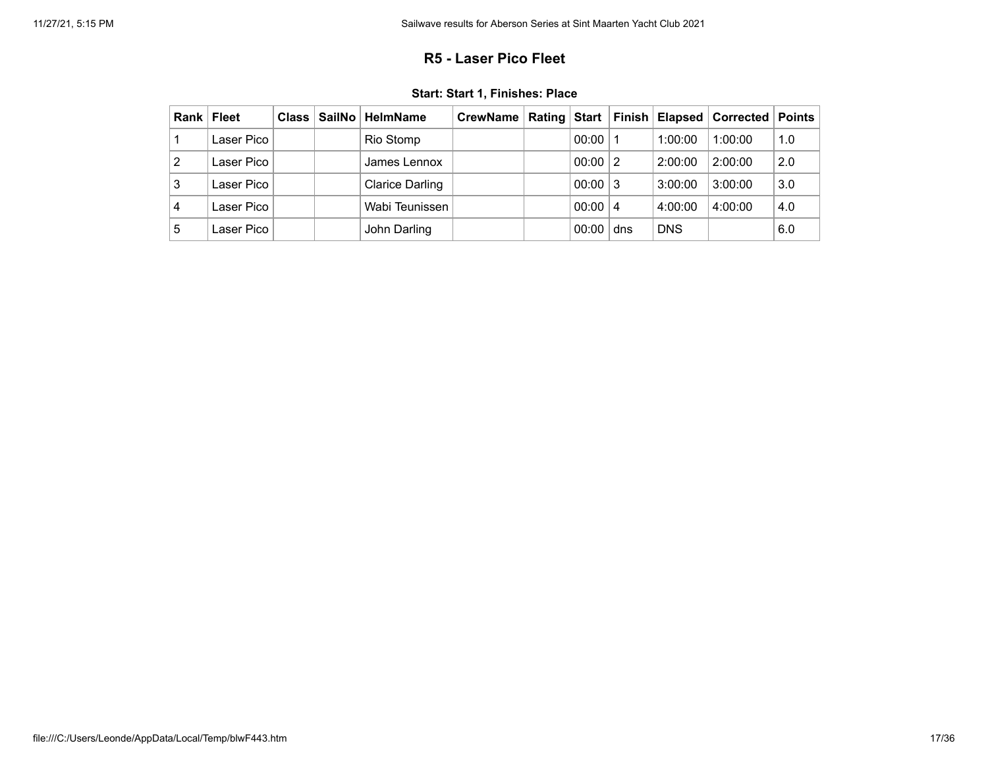### **R5 - Laser Pico Fleet**

<span id="page-16-0"></span>

| Rank | Fleet      | Class | ∣ SailNo ∣ HelmName    | CrewName   Rating   Start   Finish   Elapsed   Corrected   Points |       |                |            |         |     |
|------|------------|-------|------------------------|-------------------------------------------------------------------|-------|----------------|------------|---------|-----|
|      | Laser Pico |       | Rio Stomp              |                                                                   | 00:00 |                | 1:00:00    | 1:00:00 | 1.0 |
| 2    | Laser Pico |       | James Lennox           |                                                                   | 00:00 | $\overline{2}$ | 2:00:00    | 2:00:00 | 2.0 |
| 3    | Laser Pico |       | <b>Clarice Darling</b> |                                                                   | 00:00 | -3             | 3:00:00    | 3:00:00 | 3.0 |
| 4    | Laser Pico |       | Wabi Teunissen         |                                                                   | 00:00 | 4              | 4:00:00    | 4:00:00 | 4.0 |
| 5    | Laser Pico |       | John Darling           |                                                                   | 00:00 | dns            | <b>DNS</b> |         | 6.0 |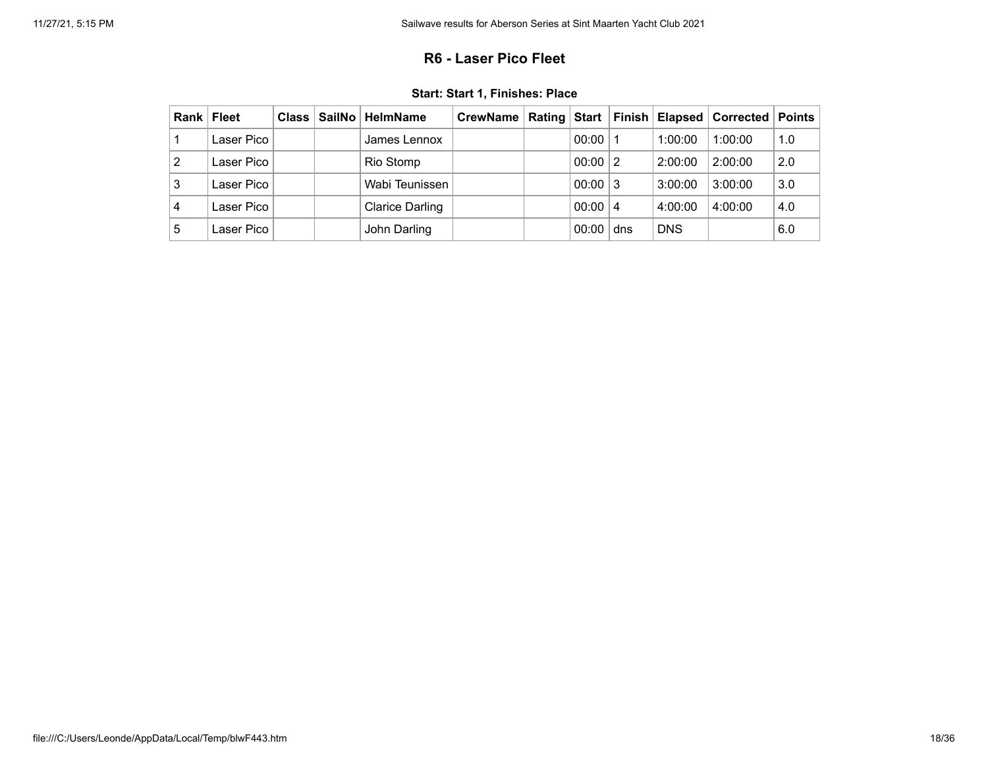### **R6 - Laser Pico Fleet**

<span id="page-17-0"></span>

| Rank | Fleet      | $Class \vert$ | ∣ SailNo ∣ HelmName    | CrewName   Rating   Start   Finish   Elapsed   Corrected   Points |       |                |            |         |     |
|------|------------|---------------|------------------------|-------------------------------------------------------------------|-------|----------------|------------|---------|-----|
|      | Laser Pico |               | James Lennox           |                                                                   | 00:00 |                | 1:00:00    | 1:00:00 | 1.0 |
| 2    | Laser Pico |               | Rio Stomp              |                                                                   | 00:00 | $\overline{2}$ | 2:00:00    | 2:00:00 | 2.0 |
| 3    | Laser Pico |               | Wabi Teunissen         |                                                                   | 00:00 | -3             | 3:00:00    | 3:00:00 | 3.0 |
| 4    | Laser Pico |               | <b>Clarice Darling</b> |                                                                   | 00:00 | 4              | 4:00:00    | 4:00:00 | 4.0 |
| 5    | Laser Pico |               | John Darling           |                                                                   | 00:00 | dns            | <b>DNS</b> |         | 6.0 |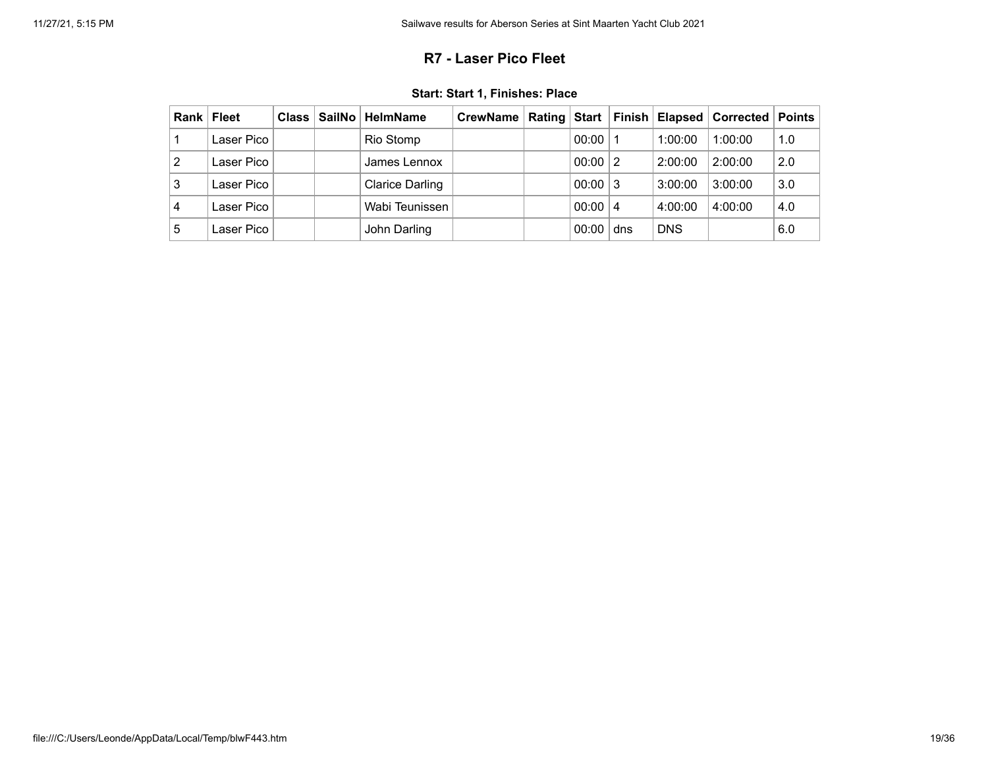### **R7 - Laser Pico Fleet**

<span id="page-18-0"></span>

| Rank | Fleet      | Class | ∣ SailNo ∣ HelmName    | CrewName   Rating   Start   Finish   Elapsed   Corrected   Points |       |                |            |         |     |
|------|------------|-------|------------------------|-------------------------------------------------------------------|-------|----------------|------------|---------|-----|
|      | Laser Pico |       | Rio Stomp              |                                                                   | 00:00 |                | 1:00:00    | 1:00:00 | 1.0 |
| 2    | Laser Pico |       | James Lennox           |                                                                   | 00:00 | $\overline{2}$ | 2:00:00    | 2:00:00 | 2.0 |
| 3    | Laser Pico |       | <b>Clarice Darling</b> |                                                                   | 00:00 | -3             | 3:00:00    | 3:00:00 | 3.0 |
| 4    | Laser Pico |       | Wabi Teunissen         |                                                                   | 00:00 | 4              | 4:00:00    | 4:00:00 | 4.0 |
| 5    | Laser Pico |       | John Darling           |                                                                   | 00:00 | dns            | <b>DNS</b> |         | 6.0 |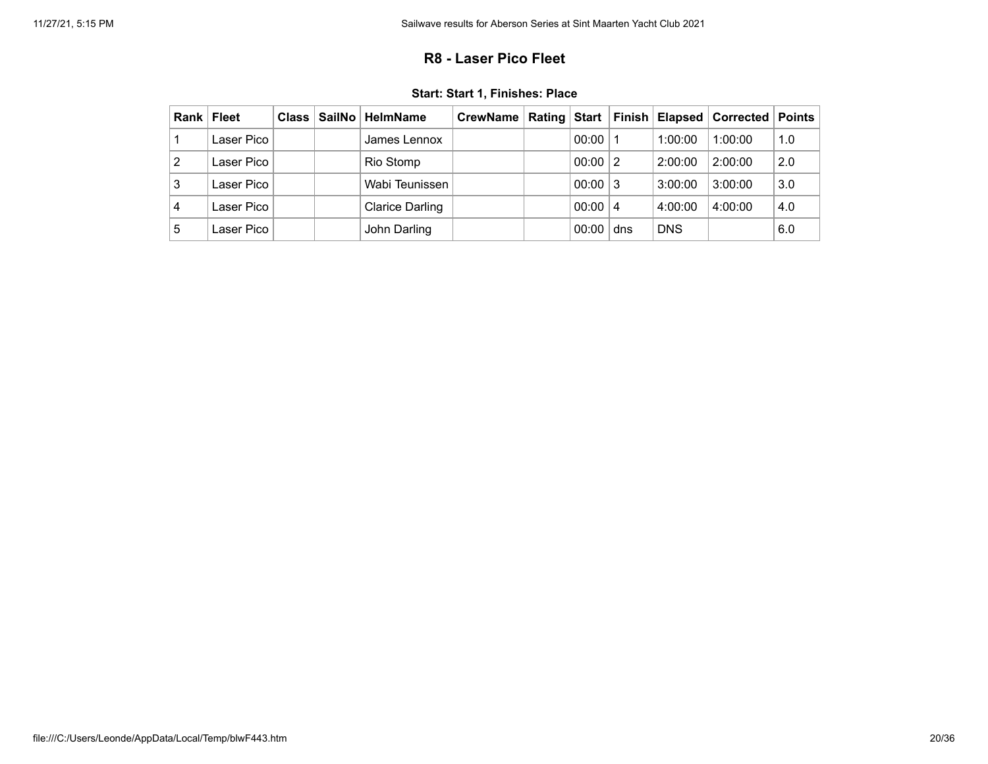### **R8 - Laser Pico Fleet**

<span id="page-19-0"></span>

| Rank | <b>Fleet</b> | <b>Class</b> | SailNo   HelmName      | CrewName   Rating   Start   Finish   Elapsed   Corrected   Points |       |     |            |         |     |
|------|--------------|--------------|------------------------|-------------------------------------------------------------------|-------|-----|------------|---------|-----|
|      | Laser Pico   |              | James Lennox           |                                                                   | 00:00 |     | 1:00:00    | 1:00:00 | 1.0 |
| 2    | Laser Pico   |              | Rio Stomp              |                                                                   | 00:00 | 2   | 2:00:00    | 2:00:00 | 2.0 |
| 3    | Laser Pico   |              | Wabi Teunissen         |                                                                   | 00:00 | 3   | 3:00:00    | 3:00:00 | 3.0 |
| 4    | Laser Pico   |              | <b>Clarice Darling</b> |                                                                   | 00:00 | 4   | 4:00:00    | 4:00:00 | 4.0 |
| 5    | Laser Pico   |              | John Darling           |                                                                   | 00:00 | dns | <b>DNS</b> |         | 6.0 |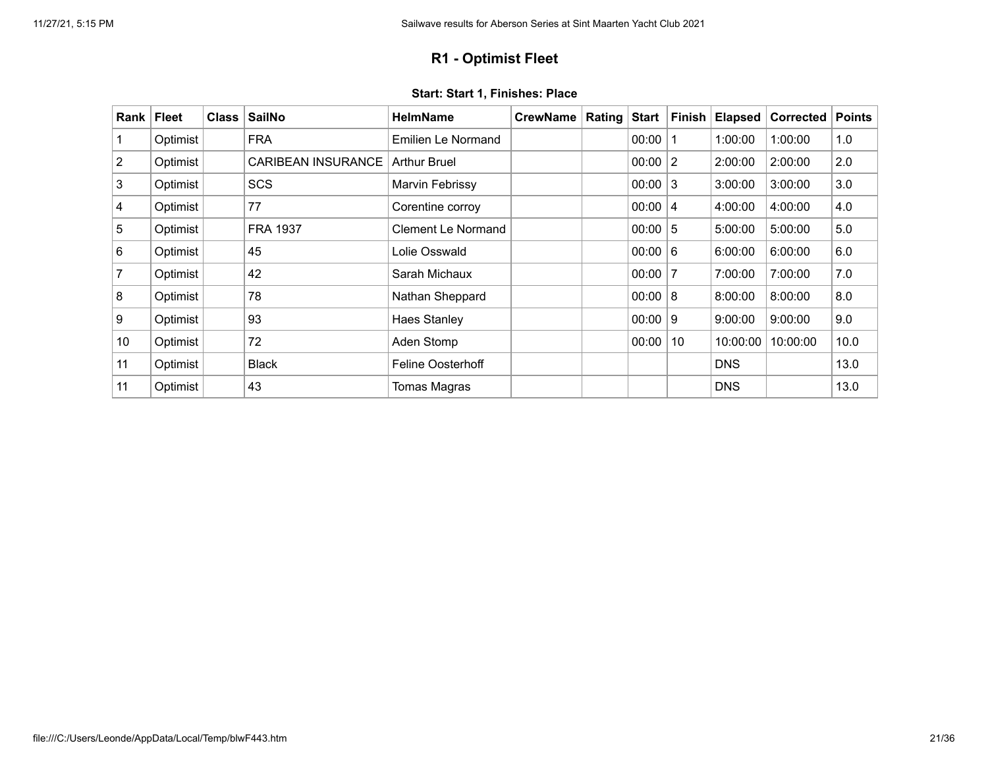## **R1 - Optimist Fleet**

<span id="page-20-0"></span>

| Rank $ $       | <b>Fleet</b> | <b>Class</b> | <b>SailNo</b>             | <b>HelmName</b>           | <b>CrewName</b> | Rating | <b>Start</b> | <b>Finish</b> | <b>Elapsed</b> | <b>Corrected</b> | <b>Points</b> |
|----------------|--------------|--------------|---------------------------|---------------------------|-----------------|--------|--------------|---------------|----------------|------------------|---------------|
|                | Optimist     |              | <b>FRA</b>                | Emilien Le Normand        |                 |        | 00:00        | -1            | 1:00:00        | 1:00:00          | 1.0           |
| $\overline{2}$ | Optimist     |              | <b>CARIBEAN INSURANCE</b> | <b>Arthur Bruel</b>       |                 |        | 00:00        | 2             | 2:00:00        | 2:00:00          | 2.0           |
| 3              | Optimist     |              | <b>SCS</b>                | Marvin Febrissy           |                 |        | 00:00        | 3             | 3:00:00        | 3:00:00          | 3.0           |
| 4              | Optimist     |              | 77                        | Corentine corroy          |                 |        | 00:00        | 4             | 4:00:00        | 4:00:00          | 4.0           |
| 5              | Optimist     |              | <b>FRA 1937</b>           | <b>Clement Le Normand</b> |                 |        | 00:00        | $5\,$         | 5:00:00        | 5:00:00          | 5.0           |
| 6              | Optimist     |              | 45                        | Lolie Osswald             |                 |        | 00:00        | 6             | 6:00:00        | 6:00:00          | 6.0           |
| $\overline{7}$ | Optimist     |              | 42                        | Sarah Michaux             |                 |        | 00:00        | 7             | 7:00:00        | 7:00:00          | 7.0           |
| 8              | Optimist     |              | 78                        | Nathan Sheppard           |                 |        | 00:00        | 8             | 8:00:00        | 8:00:00          | 8.0           |
| 9              | Optimist     |              | 93                        | <b>Haes Stanley</b>       |                 |        | 00:00        | 9             | 9:00:00        | 9:00:00          | 9.0           |
| 10             | Optimist     |              | 72                        | Aden Stomp                |                 |        | 00:00        | 10            | 10:00:00       | 10:00:00         | 10.0          |
| 11             | Optimist     |              | <b>Black</b>              | <b>Feline Oosterhoff</b>  |                 |        |              |               | <b>DNS</b>     |                  | 13.0          |
| 11             | Optimist     |              | 43                        | Tomas Magras              |                 |        |              |               | <b>DNS</b>     |                  | 13.0          |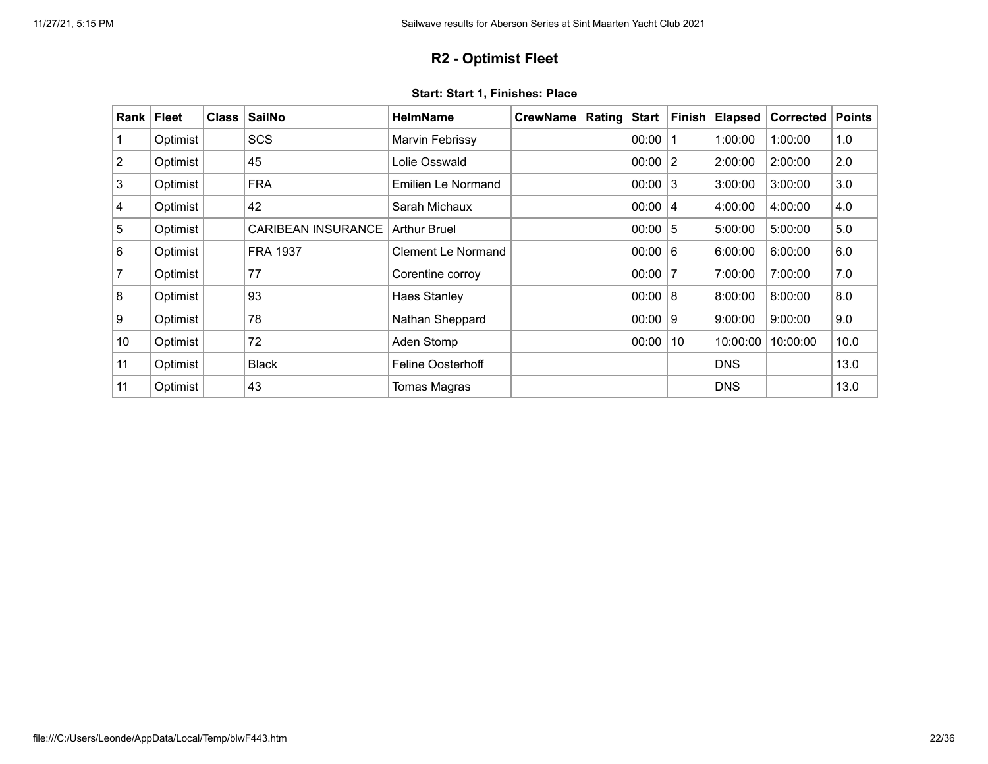## **R2 - Optimist Fleet**

<span id="page-21-0"></span>

| Rank           | <b>Fleet</b> | <b>Class</b> | <b>SailNo</b>             | <b>HelmName</b>           | <b>CrewName</b> | Rating | <b>Start</b> | <b>Finish</b> | <b>Elapsed</b> | <b>Corrected</b> | <b>Points</b> |
|----------------|--------------|--------------|---------------------------|---------------------------|-----------------|--------|--------------|---------------|----------------|------------------|---------------|
|                | Optimist     |              | <b>SCS</b>                | Marvin Febrissy           |                 |        | 00:00        | 1             | 1:00:00        | 1:00:00          | 1.0           |
| $\overline{2}$ | Optimist     |              | 45                        | Lolie Osswald             |                 |        | 00:00        | 2             | 2:00:00        | 2:00:00          | 2.0           |
| 3              | Optimist     |              | <b>FRA</b>                | Emilien Le Normand        |                 |        | 00:00        | 3             | 3:00:00        | 3:00:00          | 3.0           |
| 4              | Optimist     |              | 42                        | Sarah Michaux             |                 |        | 00:00        | 4             | 4:00:00        | 4:00:00          | 4.0           |
| 5              | Optimist     |              | <b>CARIBEAN INSURANCE</b> | <b>Arthur Bruel</b>       |                 |        | 00:00        | $5\,$         | 5:00:00        | 5:00:00          | 5.0           |
| 6              | Optimist     |              | <b>FRA 1937</b>           | <b>Clement Le Normand</b> |                 |        | 00:00        | 6             | 6:00:00        | 6:00:00          | 6.0           |
| $\overline{7}$ | Optimist     |              | 77                        | Corentine corroy          |                 |        | 00:00        | 7             | 7:00:00        | 7:00:00          | 7.0           |
| 8              | Optimist     |              | 93                        | <b>Haes Stanley</b>       |                 |        | 00:00        | 8             | 8:00:00        | 8:00:00          | 8.0           |
| 9              | Optimist     |              | 78                        | Nathan Sheppard           |                 |        | 00:00        | 9             | 9:00:00        | 9:00:00          | 9.0           |
| 10             | Optimist     |              | 72                        | Aden Stomp                |                 |        | 00:00        | 10            | 10:00:00       | 10:00:00         | 10.0          |
| 11             | Optimist     |              | <b>Black</b>              | <b>Feline Oosterhoff</b>  |                 |        |              |               | <b>DNS</b>     |                  | 13.0          |
| 11             | Optimist     |              | 43                        | Tomas Magras              |                 |        |              |               | <b>DNS</b>     |                  | 13.0          |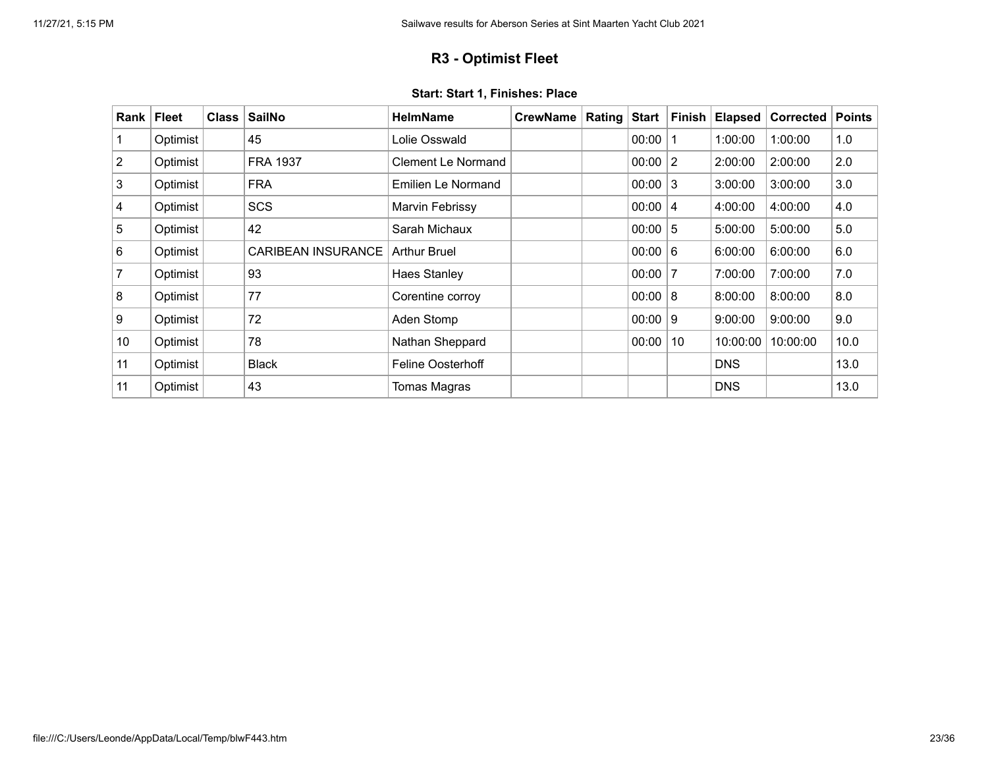## **R3 - Optimist Fleet**

<span id="page-22-0"></span>

| Rank           | <b>Fleet</b> | <b>Class</b> | <b>SailNo</b>             | <b>HelmName</b>           | <b>CrewName</b> | Rating | <b>Start</b> | <b>Finish</b> | <b>Elapsed</b> | <b>Corrected</b> | <b>Points</b> |
|----------------|--------------|--------------|---------------------------|---------------------------|-----------------|--------|--------------|---------------|----------------|------------------|---------------|
|                | Optimist     |              | 45                        | Lolie Osswald             |                 |        | 00:00        | 1             | 1:00:00        | 1:00:00          | 1.0           |
| $\overline{2}$ | Optimist     |              | <b>FRA 1937</b>           | Clement Le Normand        |                 |        | 00:00        | 2             | 2:00:00        | 2:00:00          | 2.0           |
| 3              | Optimist     |              | <b>FRA</b>                | <b>Emilien Le Normand</b> |                 |        | 00:00        | 3             | 3:00:00        | 3:00:00          | 3.0           |
| 4              | Optimist     |              | <b>SCS</b>                | Marvin Febrissy           |                 |        | 00:00        | 4             | 4:00:00        | 4:00:00          | 4.0           |
| 5              | Optimist     |              | 42                        | Sarah Michaux             |                 |        | 00:00        | $5\,$         | 5:00:00        | 5:00:00          | 5.0           |
| 6              | Optimist     |              | <b>CARIBEAN INSURANCE</b> | <b>Arthur Bruel</b>       |                 |        | 00:00        | 6             | 6:00:00        | 6:00:00          | 6.0           |
| 7              | Optimist     |              | 93                        | <b>Haes Stanley</b>       |                 |        | 00:00        | 7             | 7:00:00        | 7:00:00          | 7.0           |
| 8              | Optimist     |              | 77                        | Corentine corroy          |                 |        | 00:00        | 8             | 8:00:00        | 8:00:00          | 8.0           |
| 9              | Optimist     |              | 72                        | Aden Stomp                |                 |        | 00:00        | 9             | 9:00:00        | 9:00:00          | 9.0           |
| 10             | Optimist     |              | 78                        | Nathan Sheppard           |                 |        | 00:00        | 10            | 10:00:00       | 10:00:00         | 10.0          |
| 11             | Optimist     |              | <b>Black</b>              | <b>Feline Oosterhoff</b>  |                 |        |              |               | <b>DNS</b>     |                  | 13.0          |
| 11             | Optimist     |              | 43                        | Tomas Magras              |                 |        |              |               | <b>DNS</b>     |                  | 13.0          |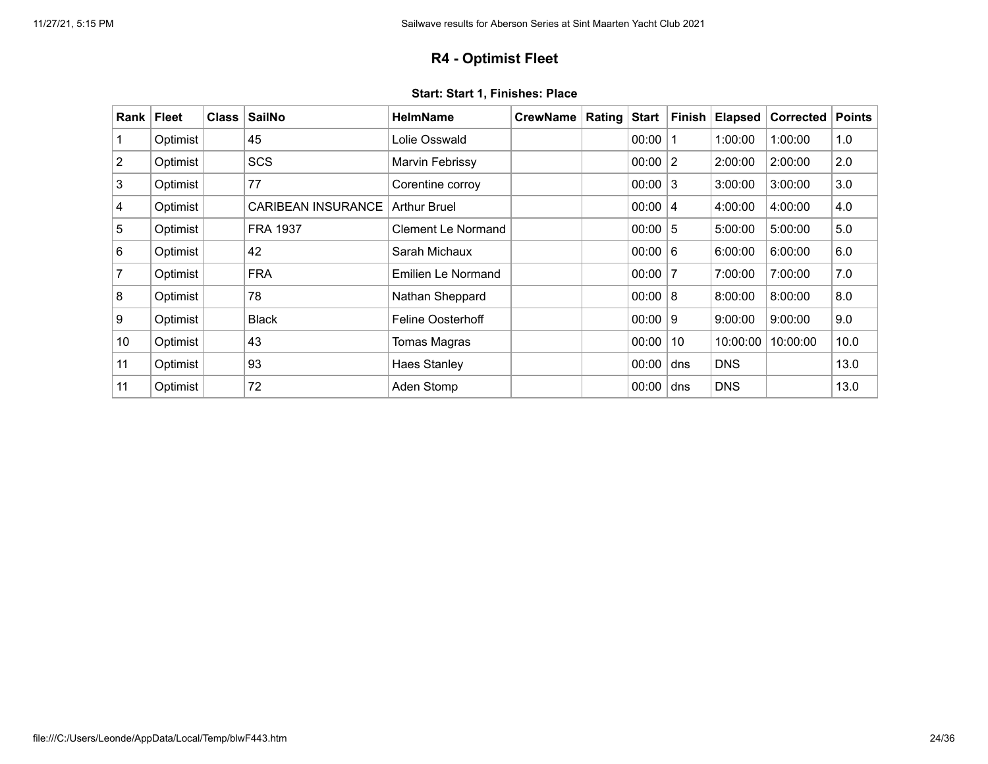## **R4 - Optimist Fleet**

<span id="page-23-0"></span>

| Rank           | <b>Fleet</b> | <b>Class</b> | <b>SailNo</b>             | <b>HelmName</b>          | <b>CrewName</b> | Rating | <b>Start</b> | <b>Finish</b> | <b>Elapsed</b> | <b>Corrected</b> | <b>Points</b> |
|----------------|--------------|--------------|---------------------------|--------------------------|-----------------|--------|--------------|---------------|----------------|------------------|---------------|
|                | Optimist     |              | 45                        | Lolie Osswald            |                 |        | 00:00        | 1             | 1:00:00        | 1:00:00          | 1.0           |
| $\overline{2}$ | Optimist     |              | <b>SCS</b>                | Marvin Febrissy          |                 |        | 00:00        | 2             | 2:00:00        | 2:00:00          | 2.0           |
| 3              | Optimist     |              | 77                        | Corentine corroy         |                 |        | 00:00        | 3             | 3:00:00        | 3:00:00          | 3.0           |
| 4              | Optimist     |              | <b>CARIBEAN INSURANCE</b> | <b>Arthur Bruel</b>      |                 |        | 00:00        | 4             | 4:00:00        | 4:00:00          | 4.0           |
| 5              | Optimist     |              | <b>FRA 1937</b>           | Clement Le Normand       |                 |        | 00:00        | $5\,$         | 5:00:00        | 5:00:00          | 5.0           |
| 6              | Optimist     |              | 42                        | Sarah Michaux            |                 |        | 00:00        | 6             | 6:00:00        | 6:00:00          | 6.0           |
| 7              | Optimist     |              | <b>FRA</b>                | Emilien Le Normand       |                 |        | 00:00        | 7             | 7:00:00        | 7:00:00          | 7.0           |
| 8              | Optimist     |              | 78                        | Nathan Sheppard          |                 |        | 00:00        | 8             | 8:00:00        | 8:00:00          | 8.0           |
| 9              | Optimist     |              | <b>Black</b>              | <b>Feline Oosterhoff</b> |                 |        | 00:00        | 9             | 9:00:00        | 9:00:00          | 9.0           |
| 10             | Optimist     |              | 43                        | Tomas Magras             |                 |        | 00:00        | 10            | 10:00:00       | 10:00:00         | 10.0          |
| 11             | Optimist     |              | 93                        | <b>Haes Stanley</b>      |                 |        | 00:00        | dns           | <b>DNS</b>     |                  | 13.0          |
| 11             | Optimist     |              | 72                        | Aden Stomp               |                 |        | 00:00        | dns           | <b>DNS</b>     |                  | 13.0          |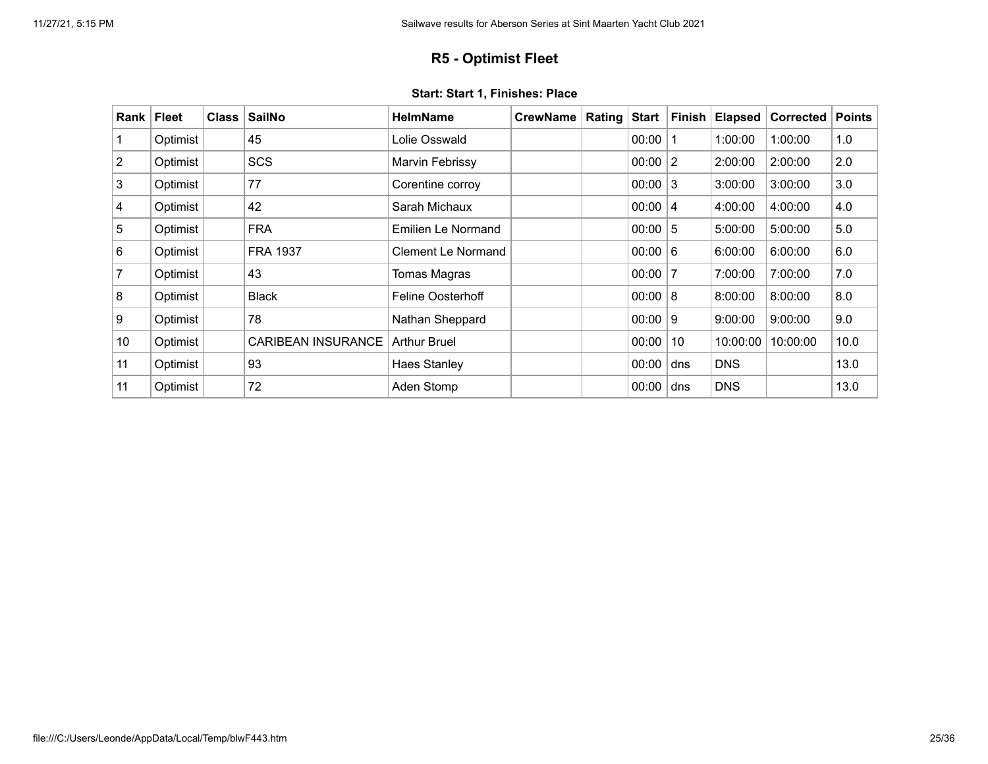## **R5 - Optimist Fleet**

<span id="page-24-0"></span>

| Rank           | <b>Fleet</b> | <b>Class</b> | <b>SailNo</b>             | <b>HelmName</b>           | <b>CrewName</b> | Rating | <b>Start</b> | <b>Finish</b> | <b>Elapsed</b> | <b>Corrected</b> | <b>Points</b> |
|----------------|--------------|--------------|---------------------------|---------------------------|-----------------|--------|--------------|---------------|----------------|------------------|---------------|
|                | Optimist     |              | 45                        | Lolie Osswald             |                 |        | 00:00        | 1             | 1:00:00        | 1:00:00          | 1.0           |
| $\overline{2}$ | Optimist     |              | <b>SCS</b>                | Marvin Febrissy           |                 |        | 00:00        | 2             | 2:00:00        | 2:00:00          | 2.0           |
| 3              | Optimist     |              | 77                        | Corentine corroy          |                 |        | 00:00        | 3             | 3:00:00        | 3:00:00          | 3.0           |
| 4              | Optimist     |              | 42                        | Sarah Michaux             |                 |        | 00:00        | 4             | 4:00:00        | 4:00:00          | 4.0           |
| 5              | Optimist     |              | <b>FRA</b>                | Emilien Le Normand        |                 |        | 00:00        | $5\,$         | 5:00:00        | 5:00:00          | 5.0           |
| 6              | Optimist     |              | <b>FRA 1937</b>           | <b>Clement Le Normand</b> |                 |        | 00:00        | 6             | 6:00:00        | 6:00:00          | 6.0           |
| 7              | Optimist     |              | 43                        | Tomas Magras              |                 |        | 00:00        | 7             | 7:00:00        | 7:00:00          | 7.0           |
| 8              | Optimist     |              | <b>Black</b>              | <b>Feline Oosterhoff</b>  |                 |        | 00:00        | 8             | 8:00:00        | 8:00:00          | 8.0           |
| 9              | Optimist     |              | 78                        | Nathan Sheppard           |                 |        | 00:00        | 9             | 9:00:00        | 9:00:00          | 9.0           |
| 10             | Optimist     |              | <b>CARIBEAN INSURANCE</b> | <b>Arthur Bruel</b>       |                 |        | 00:00        | 10            | 10:00:00       | 10:00:00         | 10.0          |
| 11             | Optimist     |              | 93                        | <b>Haes Stanley</b>       |                 |        | 00:00        | dns           | <b>DNS</b>     |                  | 13.0          |
| 11             | Optimist     |              | 72                        | Aden Stomp                |                 |        | 00:00        | dns           | <b>DNS</b>     |                  | 13.0          |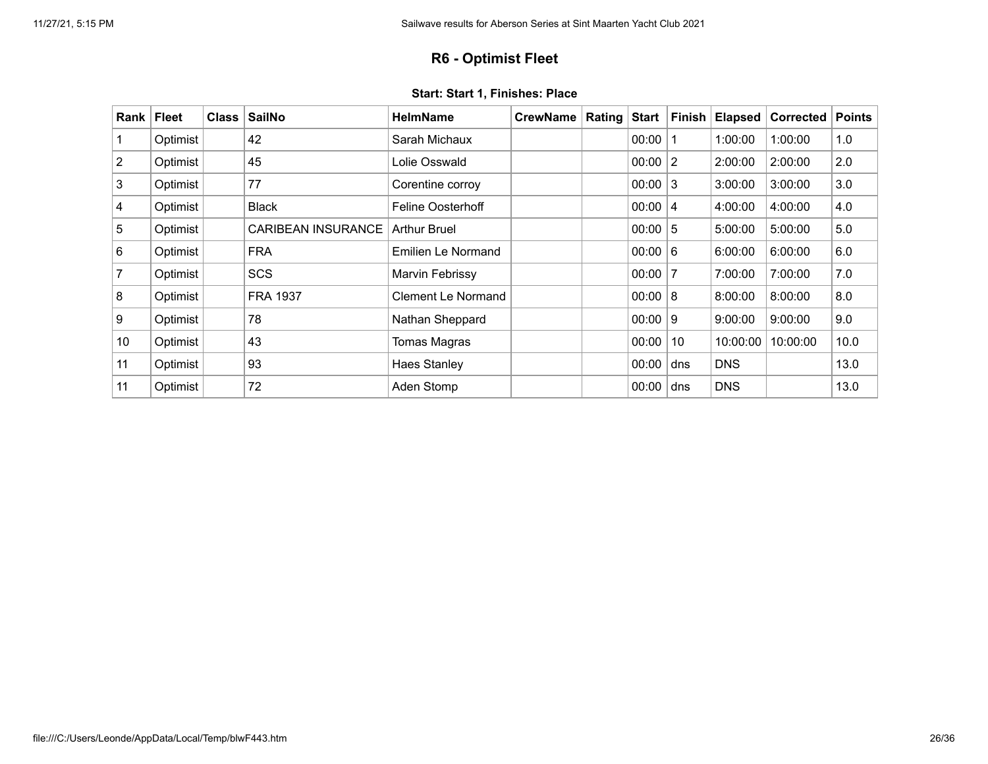## **R6 - Optimist Fleet**

<span id="page-25-0"></span>

| Rank           | <b>Fleet</b> | <b>Class</b> | <b>SailNo</b>             | <b>HelmName</b>           | <b>CrewName</b> | Rating | <b>Start</b> | <b>Finish</b>  | <b>Elapsed</b> | <b>Corrected</b> | <b>Points</b> |
|----------------|--------------|--------------|---------------------------|---------------------------|-----------------|--------|--------------|----------------|----------------|------------------|---------------|
|                | Optimist     |              | 42                        | Sarah Michaux             |                 |        | 00:00        | -1             | 1:00:00        | 1:00:00          | 1.0           |
| $\overline{2}$ | Optimist     |              | 45                        | Lolie Osswald             |                 |        | 00:00        | $\overline{2}$ | 2:00:00        | 2:00:00          | 2.0           |
| 3              | Optimist     |              | 77                        | Corentine corroy          |                 |        | 00:00        | 3              | 3:00:00        | 3:00:00          | 3.0           |
| 4              | Optimist     |              | <b>Black</b>              | <b>Feline Oosterhoff</b>  |                 |        | 00:00        | 4              | 4:00:00        | 4:00:00          | 4.0           |
| 5              | Optimist     |              | <b>CARIBEAN INSURANCE</b> | <b>Arthur Bruel</b>       |                 |        | 00:00        | $5\,$          | 5:00:00        | 5:00:00          | 5.0           |
| 6              | Optimist     |              | <b>FRA</b>                | <b>Emilien Le Normand</b> |                 |        | 00:00        | 6              | 6:00:00        | 6:00:00          | 6.0           |
| 7              | Optimist     |              | <b>SCS</b>                | Marvin Febrissy           |                 |        | 00:00        | 7              | 7:00:00        | 7:00:00          | 7.0           |
| 8              | Optimist     |              | <b>FRA 1937</b>           | Clement Le Normand        |                 |        | 00:00        | 8              | 8:00:00        | 8:00:00          | 8.0           |
| 9              | Optimist     |              | 78                        | Nathan Sheppard           |                 |        | 00:00        | 9              | 9:00:00        | 9:00:00          | 9.0           |
| 10             | Optimist     |              | 43                        | Tomas Magras              |                 |        | 00:00        | 10             | 10:00:00       | 10:00:00         | 10.0          |
| 11             | Optimist     |              | 93                        | <b>Haes Stanley</b>       |                 |        | 00:00        | dns            | <b>DNS</b>     |                  | 13.0          |
| 11             | Optimist     |              | 72                        | Aden Stomp                |                 |        | 00:00        | dns            | <b>DNS</b>     |                  | 13.0          |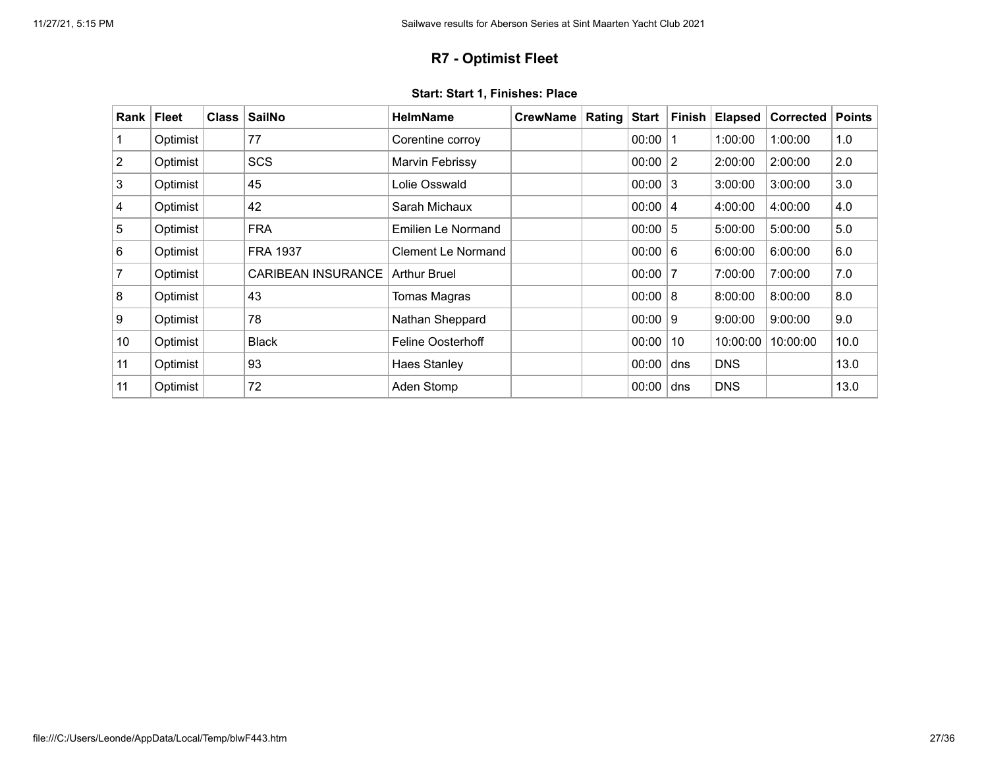## **R7 - Optimist Fleet**

<span id="page-26-0"></span>

| Rank           | <b>Fleet</b> | <b>Class</b> | <b>SailNo</b>             | <b>HelmName</b>           | <b>CrewName</b> | Rating | <b>Start</b> | <b>Finish</b> | <b>Elapsed</b> | <b>Corrected</b> | <b>Points</b> |
|----------------|--------------|--------------|---------------------------|---------------------------|-----------------|--------|--------------|---------------|----------------|------------------|---------------|
|                | Optimist     |              | 77                        | Corentine corroy          |                 |        | 00:00        | 1             | 1:00:00        | 1:00:00          | 1.0           |
| $\overline{2}$ | Optimist     |              | <b>SCS</b>                | Marvin Febrissy           |                 |        | 00:00        | 2             | 2:00:00        | 2:00:00          | 2.0           |
| 3              | Optimist     |              | 45                        | Lolie Osswald             |                 |        | 00:00        | 3             | 3:00:00        | 3:00:00          | 3.0           |
| 4              | Optimist     |              | 42                        | Sarah Michaux             |                 |        | 00:00        | 4             | 4:00:00        | 4:00:00          | 4.0           |
| 5              | Optimist     |              | <b>FRA</b>                | Emilien Le Normand        |                 |        | 00:00        | $5\,$         | 5:00:00        | 5:00:00          | 5.0           |
| 6              | Optimist     |              | <b>FRA 1937</b>           | <b>Clement Le Normand</b> |                 |        | 00:00        | 6             | 6:00:00        | 6:00:00          | 6.0           |
| 7              | Optimist     |              | <b>CARIBEAN INSURANCE</b> | <b>Arthur Bruel</b>       |                 |        | 00:00        | 7             | 7:00:00        | 7:00:00          | 7.0           |
| 8              | Optimist     |              | 43                        | Tomas Magras              |                 |        | 00:00        | 8             | 8:00:00        | 8:00:00          | 8.0           |
| 9              | Optimist     |              | 78                        | Nathan Sheppard           |                 |        | 00:00        | 9             | 9:00:00        | 9:00:00          | 9.0           |
| 10             | Optimist     |              | <b>Black</b>              | <b>Feline Oosterhoff</b>  |                 |        | 00:00        | 10            | 10:00:00       | 10:00:00         | 10.0          |
| 11             | Optimist     |              | 93                        | <b>Haes Stanley</b>       |                 |        | 00:00        | dns           | <b>DNS</b>     |                  | 13.0          |
| 11             | Optimist     |              | 72                        | Aden Stomp                |                 |        | 00:00        | dns           | <b>DNS</b>     |                  | 13.0          |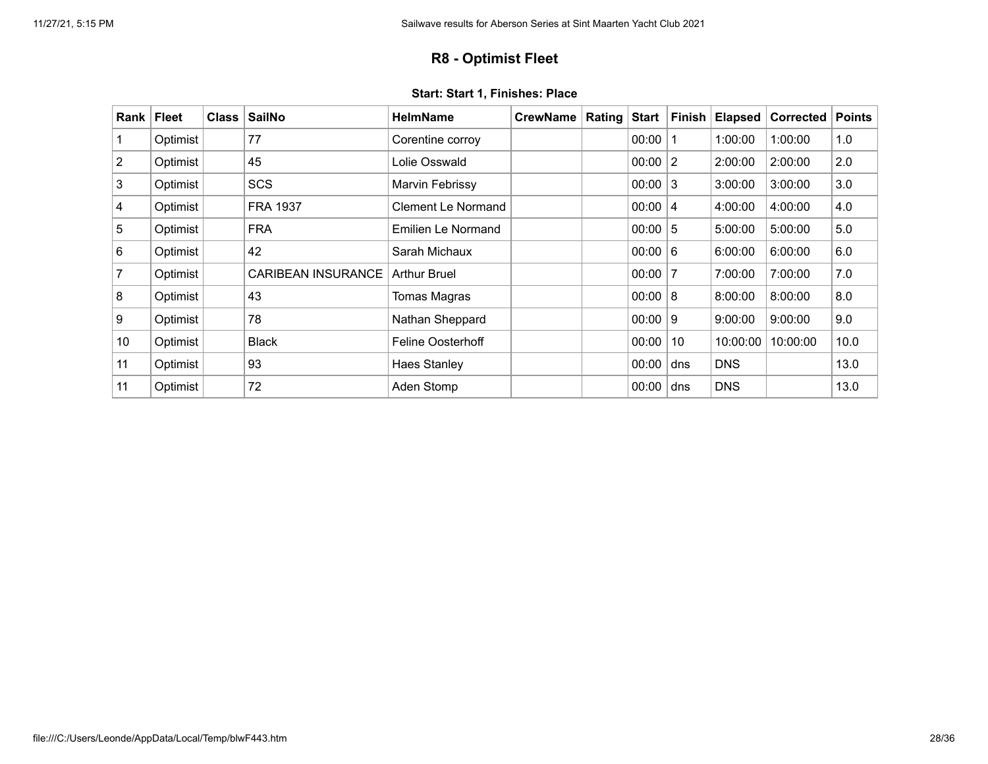## **R8 - Optimist Fleet**

<span id="page-27-0"></span>

| Rank           | <b>Fleet</b> | <b>Class</b> | <b>SailNo</b>             | <b>HelmName</b>          | <b>CrewName</b> | Rating | <b>Start</b> | <b>Finish</b>  | <b>Elapsed</b> | Corrected | <b>Points</b> |
|----------------|--------------|--------------|---------------------------|--------------------------|-----------------|--------|--------------|----------------|----------------|-----------|---------------|
|                | Optimist     |              | 77                        | Corentine corroy         |                 |        | 00:00        |                | 1:00:00        | 1:00:00   | 1.0           |
| $\overline{2}$ | Optimist     |              | 45                        | Lolie Osswald            |                 |        | 00:00        | $\overline{2}$ | 2:00:00        | 2:00:00   | 2.0           |
| 3              | Optimist     |              | <b>SCS</b>                | Marvin Febrissy          |                 |        | 00:00        | 3              | 3:00:00        | 3:00:00   | 3.0           |
| 4              | Optimist     |              | <b>FRA 1937</b>           | Clement Le Normand       |                 |        | 00:00        | $\overline{4}$ | 4:00:00        | 4:00:00   | 4.0           |
| 5              | Optimist     |              | <b>FRA</b>                | Emilien Le Normand       |                 |        | 00:00        | 5              | 5:00:00        | 5:00:00   | 5.0           |
| 6              | Optimist     |              | 42                        | Sarah Michaux            |                 |        | 00:00        | 6              | 6:00:00        | 6:00:00   | 6.0           |
| 7              | Optimist     |              | <b>CARIBEAN INSURANCE</b> | <b>Arthur Bruel</b>      |                 |        | 00:00        | 7              | 7:00:00        | 7:00:00   | 7.0           |
| 8              | Optimist     |              | 43                        | Tomas Magras             |                 |        | 00:00        | 8              | 8:00:00        | 8:00:00   | 8.0           |
| 9              | Optimist     |              | 78                        | Nathan Sheppard          |                 |        | 00:00        | 9              | 9:00:00        | 9:00:00   | 9.0           |
| 10             | Optimist     |              | <b>Black</b>              | <b>Feline Oosterhoff</b> |                 |        | 00:00        | 10             | 10:00:00       | 10:00:00  | 10.0          |
| 11             | Optimist     |              | 93                        | <b>Haes Stanley</b>      |                 |        | 00:00        | dns            | <b>DNS</b>     |           | 13.0          |
| 11             | Optimist     |              | 72                        | Aden Stomp               |                 |        | 00:00        | dns            | <b>DNS</b>     |           | 13.0          |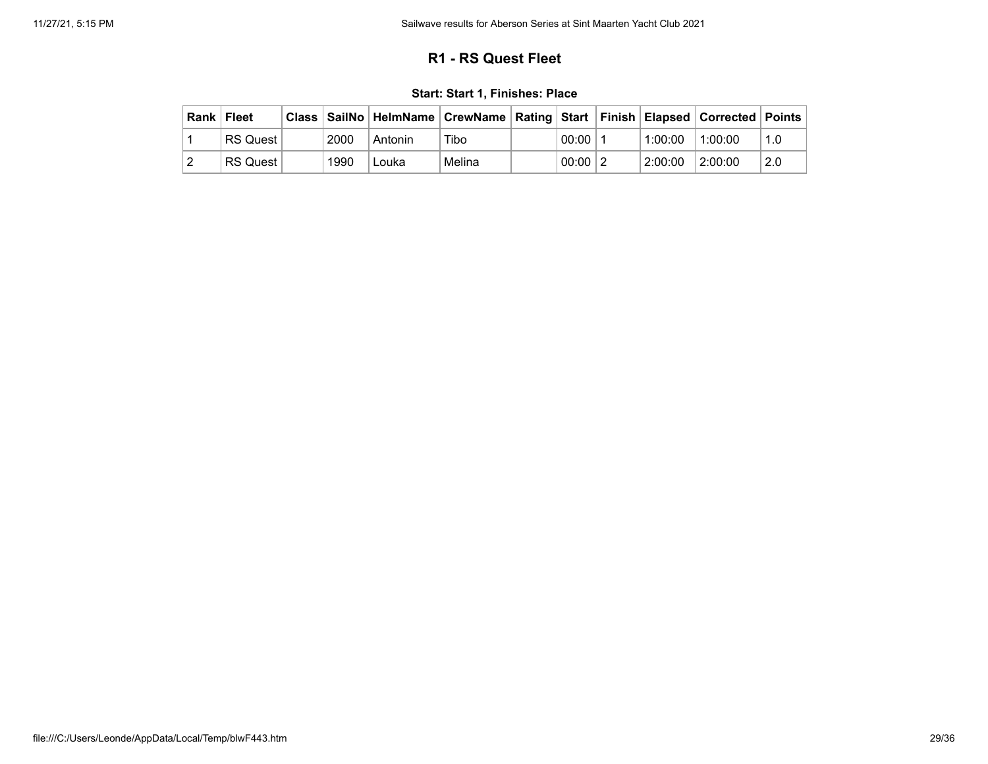## **R1 - RS Quest Fleet**

<span id="page-28-0"></span>

| Rank   Fleet |                 |      | Class   SailNo   HelmName   CrewName   Rating   Start   Finish   Elapsed   Corrected   Points |        |             |         |         |     |
|--------------|-----------------|------|-----------------------------------------------------------------------------------------------|--------|-------------|---------|---------|-----|
|              | <b>RS Quest</b> | 2000 | Antonin                                                                                       | Tibo   | 00:00       | 1:00:00 | 1:00:00 | 1.0 |
|              | <b>RS Quest</b> | 1990 | Louka                                                                                         | Melina | $00:00$   2 | 2:00:00 | 2:00:00 | 2.0 |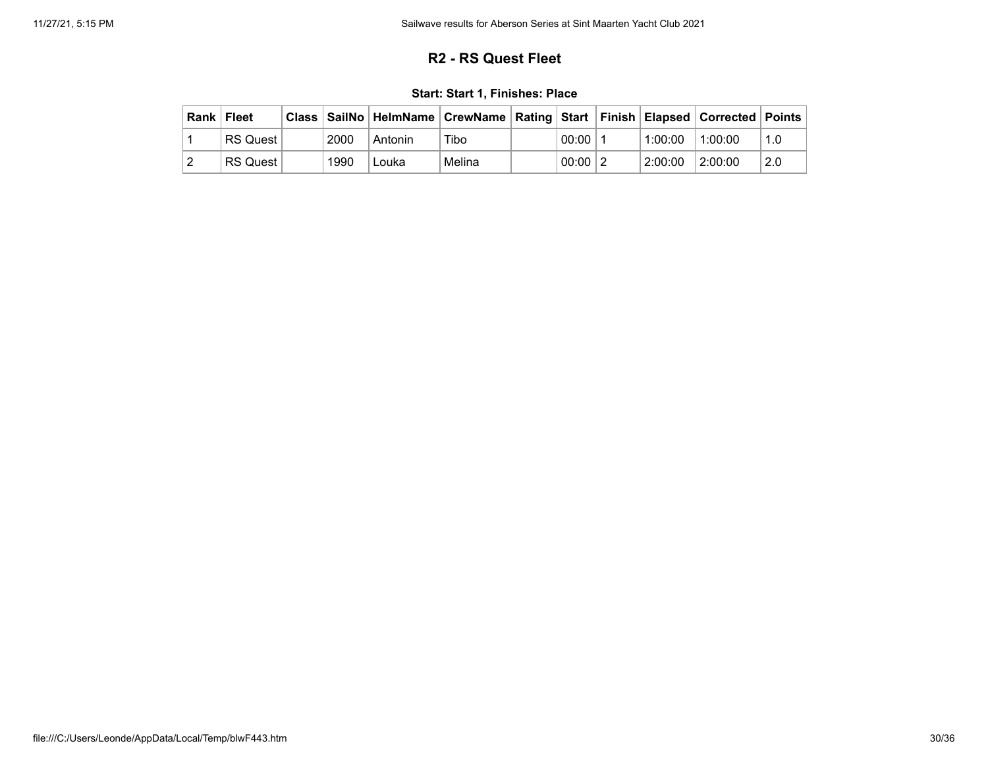## **R2 - RS Quest Fleet**

|  |  |  |  |  | Start: Start 1, Finishes: Place |
|--|--|--|--|--|---------------------------------|
|--|--|--|--|--|---------------------------------|

<span id="page-29-0"></span>

| Rank   Fleet |                 |      |         | Class   SailNo   HelmName   CrewName   Rating   Start   Finish   Elapsed   Corrected   Points |             |         |         |     |
|--------------|-----------------|------|---------|-----------------------------------------------------------------------------------------------|-------------|---------|---------|-----|
|              | <b>RS Quest</b> | 2000 | Antonin | Tibo                                                                                          | 00:00       | 1:00:00 | 1:00:00 | 1.0 |
|              | <b>RS Quest</b> | 1990 | Louka   | Melina                                                                                        | $00:00$   2 | 2:00:00 | 2:00:00 | 2.0 |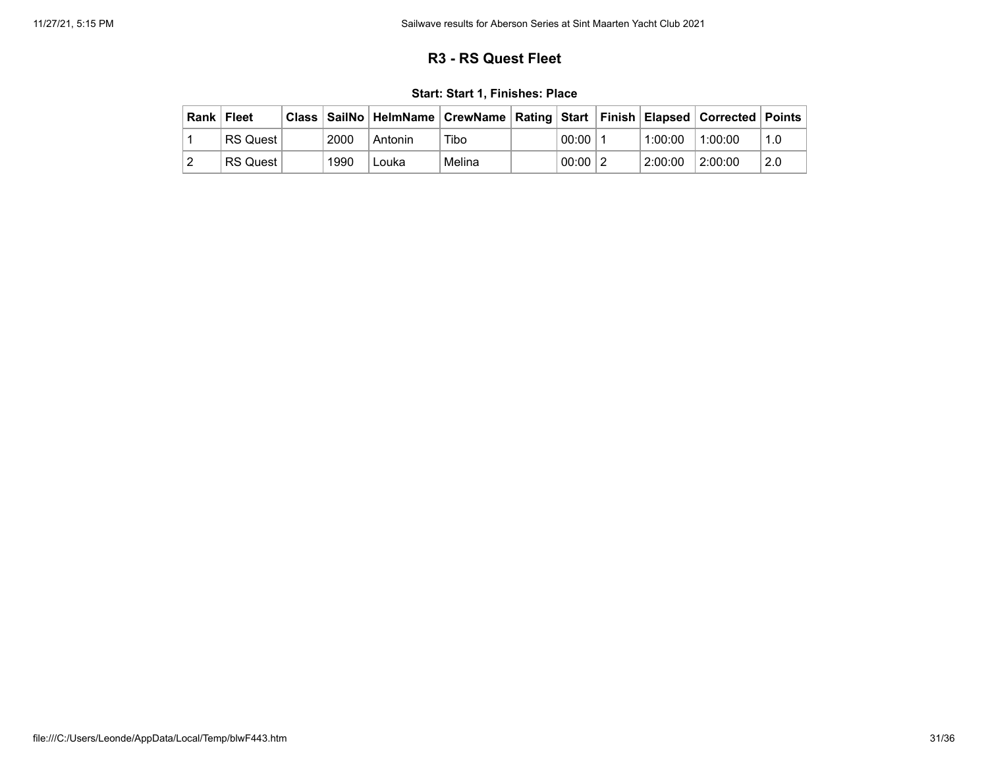## **R3 - RS Quest Fleet**

|  |  |  |  |  | Start: Start 1, Finishes: Place |
|--|--|--|--|--|---------------------------------|
|--|--|--|--|--|---------------------------------|

<span id="page-30-0"></span>

| Rank   Fleet |                 |      | Class   SailNo   HelmName   CrewName   Rating   Start   Finish   Elapsed   Corrected   Points |        |             |         |         |     |
|--------------|-----------------|------|-----------------------------------------------------------------------------------------------|--------|-------------|---------|---------|-----|
|              | <b>RS Quest</b> | 2000 | Antonin                                                                                       | Tibo   | 00:00       | 1:00:00 | 1:00:00 | 1.0 |
|              | <b>RS Quest</b> | 1990 | Louka                                                                                         | Melina | $00:00$   2 | 2:00:00 | 2:00:00 | 2.0 |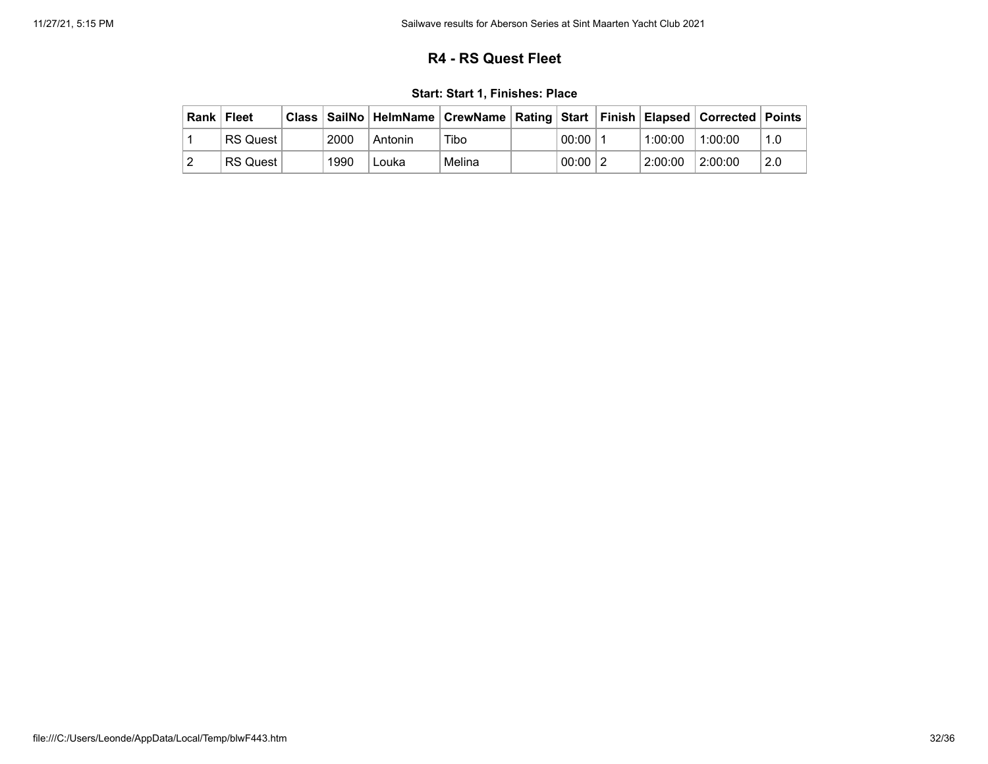## **R4 - RS Quest Fleet**

|  |  |  |  |  | Start: Start 1, Finishes: Place |
|--|--|--|--|--|---------------------------------|
|--|--|--|--|--|---------------------------------|

<span id="page-31-0"></span>

| Rank   Fleet |                 |      |         | Class   SailNo   HelmName   CrewName   Rating   Start   Finish   Elapsed   Corrected   Points |             |         |         |     |
|--------------|-----------------|------|---------|-----------------------------------------------------------------------------------------------|-------------|---------|---------|-----|
|              | <b>RS Quest</b> | 2000 | Antonin | Tibo                                                                                          | 00:00       | 1:00:00 | 1:00:00 | 1.0 |
|              | <b>RS Quest</b> | 1990 | Louka   | Melina                                                                                        | $00:00$   2 | 2:00:00 | 2:00:00 | 2.0 |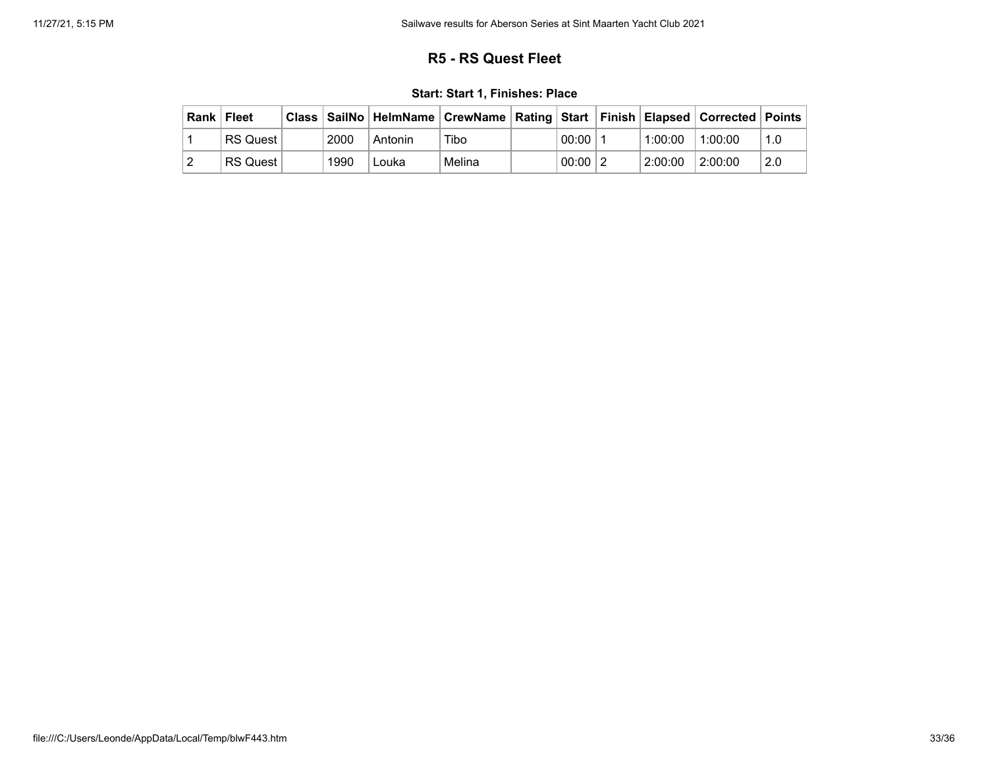## **R5 - RS Quest Fleet**

|  |  |  |  |  | Start: Start 1, Finishes: Place |
|--|--|--|--|--|---------------------------------|
|--|--|--|--|--|---------------------------------|

<span id="page-32-0"></span>

| Rank   Fleet |                 |      |         | Class   SailNo   HelmName   CrewName   Rating   Start   Finish   Elapsed   Corrected   Points |             |         |         |     |
|--------------|-----------------|------|---------|-----------------------------------------------------------------------------------------------|-------------|---------|---------|-----|
|              | <b>RS Quest</b> | 2000 | Antonin | Tibo                                                                                          | 00:00       | 1:00:00 | 1:00:00 | 1.0 |
|              | <b>RS Quest</b> | 1990 | Louka   | Melina                                                                                        | $00:00$   2 | 2:00:00 | 2:00:00 | 2.0 |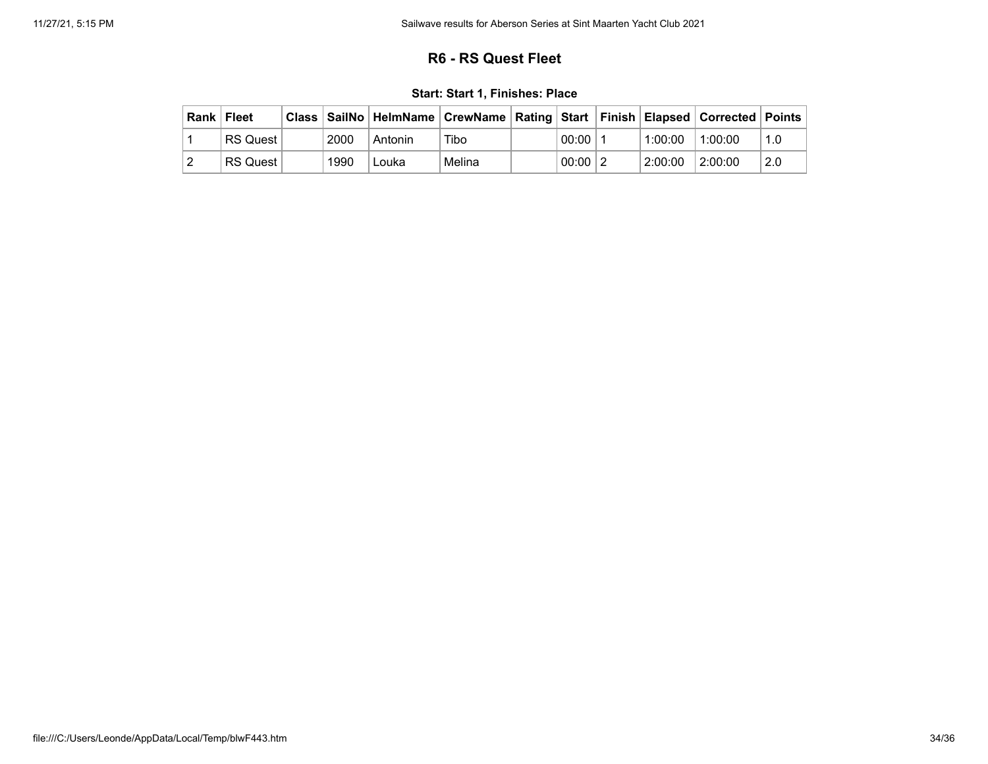## **R6 - RS Quest Fleet**

|  |  |  |  |  | Start: Start 1, Finishes: Place |
|--|--|--|--|--|---------------------------------|
|--|--|--|--|--|---------------------------------|

<span id="page-33-0"></span>

| Rank   Fleet |                 |      |         | Class   SailNo   HelmName   CrewName   Rating   Start   Finish   Elapsed   Corrected   Points |             |         |         |     |
|--------------|-----------------|------|---------|-----------------------------------------------------------------------------------------------|-------------|---------|---------|-----|
|              | <b>RS Quest</b> | 2000 | Antonin | Tibo                                                                                          | 00:00       | 1:00:00 | 1:00:00 | 1.0 |
|              | <b>RS Quest</b> | 1990 | Louka   | Melina                                                                                        | $00:00$   2 | 2:00:00 | 2:00:00 | 2.0 |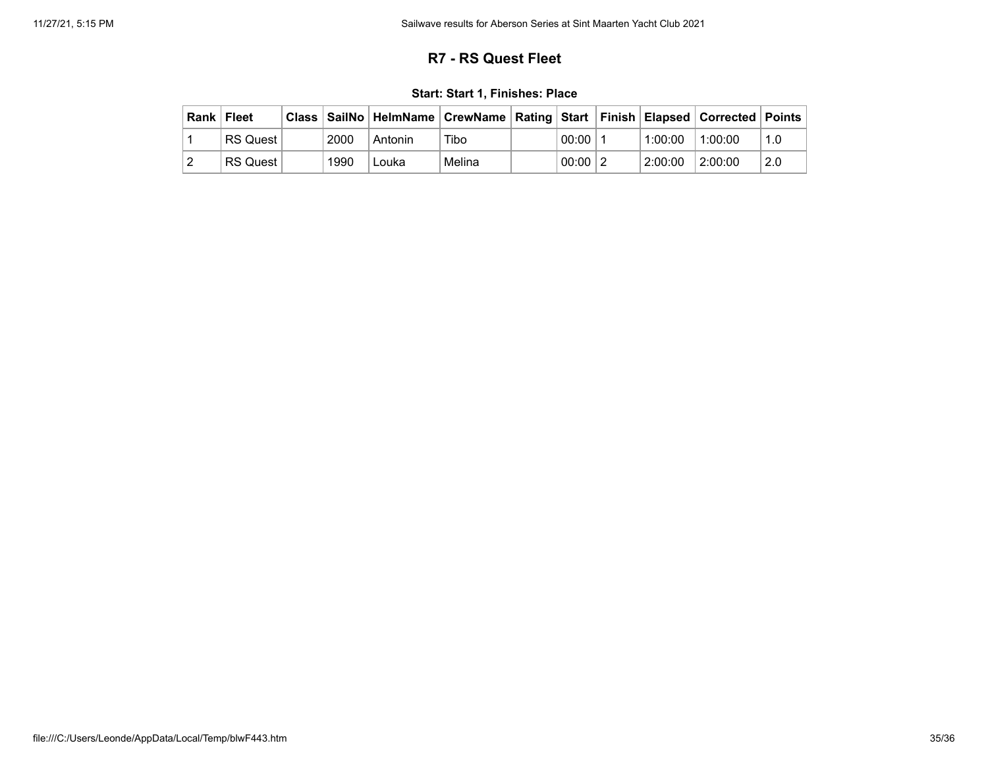## **R7 - RS Quest Fleet**

|  |  |  |  |  | Start: Start 1, Finishes: Place |
|--|--|--|--|--|---------------------------------|
|--|--|--|--|--|---------------------------------|

<span id="page-34-0"></span>

| Rank   Fleet |                 |      | Class   SailNo   HelmName   CrewName   Rating   Start   Finish   Elapsed   Corrected   Points |        |             |         |         |     |
|--------------|-----------------|------|-----------------------------------------------------------------------------------------------|--------|-------------|---------|---------|-----|
|              | <b>RS Quest</b> | 2000 | Antonin                                                                                       | Tibo   | 00:00       | 1:00:00 | 1:00:00 | 1.0 |
|              | <b>RS Quest</b> | 1990 | Louka                                                                                         | Melina | $00:00$   2 | 2:00:00 | 2:00:00 | 2.0 |